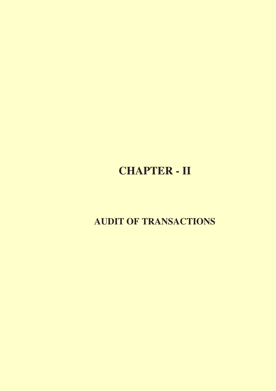# **CHAPTER - II**

**AUDIT OF TRANSACTIONS**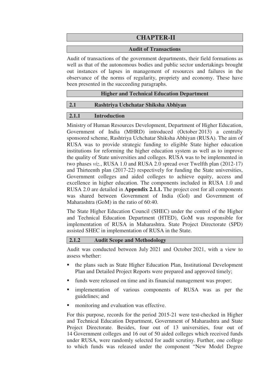# **CHAPTER-II**

#### **Audit of Transactions**

Audit of transactions of the government departments, their field formations as well as that of the autonomous bodies and public sector undertakings brought out instances of lapses in management of resources and failures in the observance of the norms of regularity, propriety and economy. These have been presented in the succeeding paragraphs.

#### **Higher and Technical Education Department**

#### **2.1 Rashtriya Uchchatar Shiksha Abhiyan**

#### **2.1.1 Introduction**

Ministry of Human Resources Development, Department of Higher Education, Government of India (MHRD) introduced (October 2013) a centrally sponsored scheme, Rashtriya Uchchatar Shiksha Abhiyan (RUSA). The aim of RUSA was to provide strategic funding to eligible State higher education institutions for reforming the higher education system as well as to improve the quality of State universities and colleges. RUSA was to be implemented in two phases *viz*., RUSA 1.0 and RUSA 2.0 spread over Twelfth plan (2012-17) and Thirteenth plan (2017-22) respectively for funding the State universities, Government colleges and aided colleges to achieve equity, access and excellence in higher education. The components included in RUSA 1.0 and RUSA 2.0 are detailed in **Appendix 2.1.1.** The project cost for all components was shared between Government of India (GoI) and Government of Maharashtra (GoM) in the ratio of 60:40.

The State Higher Education Council (SHEC) under the control of the Higher and Technical Education Department (HTED), GoM was responsible for implementation of RUSA in Maharashtra. State Project Directorate (SPD) assisted SHEC in implementation of RUSA in the State.

#### **2.1.2 Audit Scope and Methodology**

Audit was conducted between July 2021 and October 2021, with a view to assess whether:

- the plans such as State Higher Education Plan, Institutional Development Plan and Detailed Project Reports were prepared and approved timely;
- funds were released on time and its financial management was proper;
- implementation of various components of RUSA was as per the guidelines; and
- monitoring and evaluation was effective.

For this purpose, records for the period 2015-21 were test-checked in Higher and Technical Education Department, Government of Maharashtra and State Project Directorate. Besides, four out of 13 universities, four out of 14 Government colleges and 16 out of 50 aided colleges which received funds under RUSA, were randomly selected for audit scrutiny. Further, one college to which funds was released under the component "New Model Degree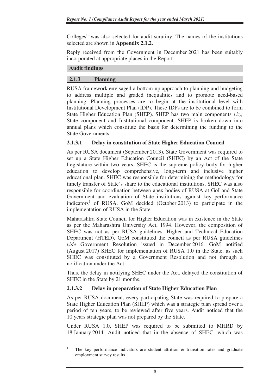Colleges" was also selected for audit scrutiny. The names of the institutions selected are shown in **Appendix 2.1.2**.

Reply received from the Government in December 2021 has been suitably incorporated at appropriate places in the Report.

## **Audit findings**

 $\overline{a}$ 

## **2.1.3 Planning**

RUSA framework envisaged a bottom-up approach to planning and budgeting to address multiple and graded inequalities and to promote need-based planning. Planning processes are to begin at the institutional level with Institutional Development Plan (IDP). These IDPs are to be combined to form State Higher Education Plan (SHEP). SHEP has two main components *viz.,* State component and Institutional component. SHEP is broken down into annual plans which constitute the basis for determining the funding to the State Governments.

# **2.1.3.1 Delay in constitution of State Higher Education Council**

As per RUSA document (September 2013), State Government was required to set up a State Higher Education Council (SHEC) by an Act of the State Legislature within two years. SHEC is the supreme policy body for higher education to develop comprehensive, long-term and inclusive higher educational plan. SHEC was responsible for determining the methodology for timely transfer of State's share to the educational institutions. SHEC was also responsible for coordination between apex bodies of RUSA at GoI and State Government and evaluation of State institutions against key performance indicators<sup>1</sup> of RUSA. GoM decided (October 2013) to participate in the implementation of RUSA in the State.

Maharashtra State Council for Higher Education was in existence in the State as per the Maharashtra University Act, 1994. However, the composition of SHEC was not as per RUSA guidelines. Higher and Technical Education Department (HTED), GoM constituted the council as per RUSA guidelines *vide* Government Resolution issued in December 2016. GoM notified (August 2017) SHEC for implementation of RUSA 1.0 in the State, as such SHEC was constituted by a Government Resolution and not through a notification under the Act.

Thus, the delay in notifying SHEC under the Act, delayed the constitution of SHEC in the State by 21 months.

# **2.1.3.2 Delay in preparation of State Higher Education Plan**

As per RUSA document, every participating State was required to prepare a State Higher Education Plan (SHEP) which was a strategic plan spread over a period of ten years, to be reviewed after five years. Audit noticed that the 10 years strategic plan was not prepared by the State.

Under RUSA 1.0, SHEP was required to be submitted to MHRD by 18 January 2014. Audit noticed that in the absence of SHEC, which was

<sup>1</sup> The key performance indicators are student attrition & transition rates and graduate employment survey results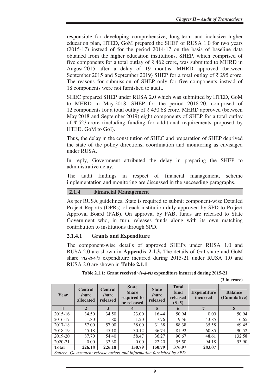responsible for developing comprehensive, long-term and inclusive higher education plan, HTED, GoM prepared the SHEP of RUSA 1.0 for two years (2015-17) instead of for the period 2014-17 on the basis of baseline data obtained from the higher education institutions. SHEP, which comprised of five components for a total outlay of  $\bar{\tau}$  462 crore, was submitted to MHRD in August 2015 after a delay of 19 months. MHRD approved (between September 2015 and September 2019) SHEP for a total outlay of  $\bar{\tau}$  295 crore. The reasons for submission of SHEP only for five components instead of 18 components were not furnished to audit.

SHEC prepared SHEP under RUSA 2.0 which was submitted by HTED, GoM to MHRD in May 2018. SHEP for the period 2018-20, comprised of 12 components for a total outlay of  $\bar{\tau}$  430.68 crore. MHRD approved (between May 2018 and September 2019) eight components of SHEP for a total outlay of ₹ 523 crore (including funding for additional requirements proposed by HTED, GoM to GoI).

Thus, the delay in the constitution of SHEC and preparation of SHEP deprived the state of the policy directions, coordination and monitoring as envisaged under RUSA.

In reply, Government attributed the delay in preparing the SHEP to administrative delay.

The audit findings in respect of financial management, scheme implementation and monitoring are discussed in the succeeding paragraphs.

#### **2.1.4 Financial Management**

As per RUSA guidelines, State is required to submit component-wise Detailed Project Reports (DPRs) of each institution duly approved by SPD to Project Approval Board (PAB). On approval by PAB, funds are released to State Government who, in turn, releases funds along with its own matching contribution to institutions through SPD.

#### **2.1.4.1 Grants and Expenditure**

The component-wise details of approved SHEPs under RUSA 1.0 and RUSA 2.0 are shown in **Appendix 2.1.3.** The details of GoI share and GoM share *vis-à-vis* expenditure incurred during 2015-21 under RUSA 1.0 and RUSA 2.0 are shown in **Table 2.1.1**.

**Table 2.1.1: Grant received** *vis-à-vis* **expenditure incurred during 2015-21** 

**(₹ in crore)** 

| Year                                                               | <b>Central</b><br>share<br>allocated | <b>Central</b><br>share<br>released | <b>State</b><br><b>Share</b><br>required to<br>be released | <b>State</b><br>share<br>released | <b>Total</b><br>fund<br>released<br>$(3+5)$ | <b>Expenditure</b><br><i>incurred</i> | <b>Balance</b><br>(Cumulative) |
|--------------------------------------------------------------------|--------------------------------------|-------------------------------------|------------------------------------------------------------|-----------------------------------|---------------------------------------------|---------------------------------------|--------------------------------|
|                                                                    | $\overline{2}$                       | 3                                   | 4                                                          | 5                                 | 6                                           | 7                                     | 8                              |
| $2015 - 16$                                                        | 34.50                                | 34.50                               | 23.00                                                      | 16.44                             | 50.94                                       | 0.00                                  | 50.94                          |
| 2016-17                                                            | 1.80                                 | 1.80                                | 1.20                                                       | 7.76                              | 9.56                                        | 43.85                                 | 16.65                          |
| 2017-18                                                            | 57.00                                | 57.00                               | 38.00                                                      | 31.38                             | 88.38                                       | 35.58                                 | 69.45                          |
| 2018-19                                                            | 45.18                                | 45.18                               | 30.12                                                      | 36.74                             | 81.92                                       | 60.85                                 | 90.52                          |
| 2019-20                                                            | 87.70                                | 54.40                               | 58.47                                                      | 36.27                             | 90.67                                       | 48.61                                 | 132.58                         |
| 2020-21                                                            | 0.00                                 | 33.30                               | 0.00                                                       | 22.20                             | 55.50                                       | 94.18                                 | 93.90                          |
| <b>Total</b>                                                       | 226.18                               | 226.18                              | 150.79                                                     | 150.79                            | 376.97                                      | 283.07                                |                                |
| Source: Government release orders and information furnished by SPD |                                      |                                     |                                                            |                                   |                                             |                                       |                                |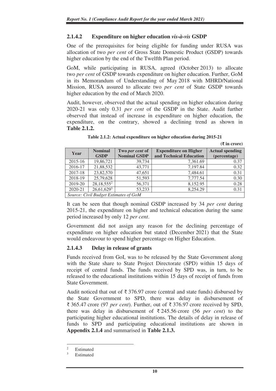# **2.1.4.2 Expenditure on higher education** *vis-à-vis* **GSDP**

One of the prerequisites for being eligible for funding under RUSA was allocation of two *per cent* of Gross State Domestic Product (GSDP) towards higher education by the end of the Twelfth Plan period.

GoM, while participating in RUSA, agreed (October 2013) to allocate two *per cent* of GSDP towards expenditure on higher education. Further, GoM in its Memorandum of Understanding of May 2018 with MHRD/National Mission, RUSA assured to allocate two *per cent* of State GSDP towards higher education by the end of March 2020.

Audit, however, observed that the actual spending on higher education during 2020-21 was only 0.31 *per cent* of the GSDP in the State. Audit further observed that instead of increase in expenditure on higher education, the expenditure, on the contrary, showed a declining trend as shown in **Table 2.1.2.** 

|                                       |                          |                     |                              | $(5 \text{ m})$        |  |  |
|---------------------------------------|--------------------------|---------------------|------------------------------|------------------------|--|--|
| Year                                  | <b>Nominal</b>           | Two per cent of     | <b>Expenditure on Higher</b> | <b>Actual spending</b> |  |  |
|                                       | <b>GSDP</b>              | <b>Nominal GSDP</b> | and Technical Education      | (percentage)           |  |  |
| 2015-16                               | 19,86,721                | 39,734              | 7,361.69                     | 0.37                   |  |  |
| 2016-17                               | 21,88,532                | 43,771              | 7,197.84                     | 0.32                   |  |  |
| 2017-18                               | 23,82,570                | 47,651              | 7,484.61                     | 0.31                   |  |  |
| 2018-19                               | 25,79,628                | 51,593              | 7,777.54                     | 0.30                   |  |  |
| 2019-20                               | $28,18,55\overline{5^2}$ | 56,371              | 8,152.95                     | 0.28                   |  |  |
| 2020-21                               | $26,61,629^3$            | 53.233              | 8,254.29                     | 0.31                   |  |  |
| Source: Civil Budget Estimates of GoM |                          |                     |                              |                        |  |  |

**Table 2.1.2: Actual expenditure on higher education during 2015-21** 

**(₹ in crore)** 

It can be seen that though nominal GSDP increased by 34 *per cent* during 2015-21, the expenditure on higher and technical education during the same period increased by only 12 *per cent*.

Government did not assign any reason for the declining percentage of expenditure on higher education but stated (December 2021) that the State would endeavour to spend higher percentage on Higher Education.

#### **2.1.4.3 Delay in release of grants**

Funds received from GoI, was to be released by the State Government along with the State share to State Project Directorate (SPD) within 15 days of receipt of central funds. The funds received by SPD was, in turn, to be released to the educational institutions within 15 days of receipt of funds from State Government.

Audit noticed that out of  $\bar{\tau}$  376.97 crore (central and state funds) disbursed by the State Government to SPD, there was delay in disbursement of ₹ 365.47 crore (97 *per cent*). Further, out of ₹ 376.97 crore received by SPD, there was delay in disbursement of ₹ 245.56 crore (56 *per cent*) to the participating higher educational institutions. The details of delay in release of funds to SPD and participating educational institutions are shown in **Appendix 2.1.4** and summarised in **Table 2.1.3.**

 $\overline{2}$ Estimated

<sup>3</sup> Estimated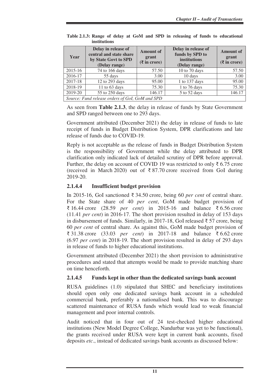| Year                                            | Delay in release of<br>central and state share<br>by State Govt to SPD<br>(Delay range) | <b>Amount of</b><br>grant<br>$(\bar{\mathbf{\mathsf{z}}}$ in crore) | Delay in release of<br>funds by SPD to<br>institutions<br>(Delay range) | <b>Amount of</b><br>grant<br>$(\bar{\mathbf{\mathsf{z}}}$ in crore) |  |  |
|-------------------------------------------------|-----------------------------------------------------------------------------------------|---------------------------------------------------------------------|-------------------------------------------------------------------------|---------------------------------------------------------------------|--|--|
| 2015-16                                         | 74 to 166 days                                                                          | 57.50                                                               | 10 to 70 days                                                           | 57.50                                                               |  |  |
| 2016-17                                         | 55 days                                                                                 | 3.00                                                                | 10 days                                                                 | 3.00                                                                |  |  |
| 2017-18                                         | 12 to 293 days                                                                          | 95.00                                                               | 1 to 137 days                                                           | 95.00                                                               |  |  |
| 2018-19                                         | 11 to 63 days                                                                           | 75.30                                                               | 1 to 76 days                                                            | 75.30                                                               |  |  |
| 2019-20                                         | 55 to 250 days                                                                          | 146.17                                                              | 5 to 52 days                                                            | 146.17                                                              |  |  |
| Source: Fund release orders of GoI, GoM and SPD |                                                                                         |                                                                     |                                                                         |                                                                     |  |  |

**Table 2.1.3: Range of delay at GoM and SPD in releasing of funds to educational institutions** 

As seen from **Table 2.1.3**, the delay in release of funds by State Government and SPD ranged between one to 293 days.

Government attributed (December 2021) the delay in release of funds to late receipt of funds in Budget Distribution System, DPR clarifications and late release of funds due to COVID-19*.*

Reply is not acceptable as the release of funds in Budget Distribution System is the responsibility of Government while the delay attributed to DPR clarification only indicated lack of detailed scrutiny of DPR before approval. Further, the delay on account of COVID 19 was restricted to only  $\bar{\tau}$  6.75 crore (received in March 2020) out of  $\bar{\tau}$  87.70 crore received from GoI during 2019-20.

# **2.1.4.4 Insufficient budget provision**

In 2015-16, GoI sanctioned ₹ 34.50 crore, being 60 *per cent* of central share. For the State share of 40 *per cent*, GoM made budget provision of ₹ 16.44 crore (28.59 *per cent*) in 2015-16 and balance ₹ 6.56 crore (11.41 *per cent*) in 2016-17. The short provision resulted in delay of 153 days in disbursement of funds. Similarly, in 2017-18, GoI released ₹ 57 crore, being 60 *per cent* of central share. As against this, GoM made budget provision of ₹ 31.38 crore (33.03 *per cent*) in 2017-18 and balance ₹ 6.62 crore (6.97 *per cent*) in 2018-19. The short provision resulted in delay of 293 days in release of funds to higher educational institutions.

Government attributed (December 2021) the short provision to administrative procedures and stated that attempts would be made to provide matching share on time henceforth.

# **2.1.4.5 Funds kept in other than the dedicated savings bank account**

RUSA guidelines (1.0) stipulated that SHEC and beneficiary institutions should open only one dedicated savings bank account in a scheduled commercial bank, preferably a nationalised bank. This was to discourage scattered maintenance of RUSA funds which would lead to weak financial management and poor internal controls.

Audit noticed that in four out of 24 test-checked higher educational institutions (New Model Degree College, Nandurbar was yet to be functional), the grants received under RUSA were kept in current bank accounts, fixed deposits *etc*., instead of dedicated savings bank accounts as discussed below: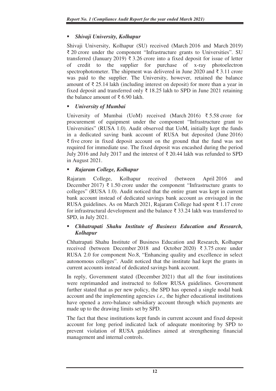# *Shivaji University, Kolhapur*

Shivaji University, Kolhapur (SU) received (March 2016 and March 2019) ₹ 20 crore under the component "Infrastructure grants to Universities". SU transferred (January 2019)  $\bar{\tau}$  3.26 crore into a fixed deposit for issue of letter of credit to the supplier for purchase of x-ray photoelectron spectrophotometer. The shipment was delivered in June 2020 and  $\bar{\xi}$  3.11 crore was paid to the supplier. The University, however, retained the balance amount of  $\bar{\tau}$  25.14 lakh (including interest on deposit) for more than a year in fixed deposit and transferred only  $\bar{\tau}$  18.25 lakh to SPD in June 2021 retaining the balance amount of ₹6.90 lakh.

# *University of Mumbai*

University of Mumbai (UoM) received (March 2016) ₹ 5.58 crore for procurement of equipment under the component "Infrastructure grant to Universities" (RUSA 1.0). Audit observed that UoM, initially kept the funds in a dedicated saving bank account of RUSA but deposited (June 2016) ₹ five crore in fixed deposit account on the ground that the fund was not required for immediate use. The fixed deposit was encashed during the period July 2016 and July 2017 and the interest of ₹ 20.44 lakh was refunded to SPD in August 2021.

# *Rajaram College, Kolhapur*

Rajaram College, Kolhapur received (between April 2016 and December 2017) ₹ 1.50 crore under the component "Infrastructure grants to colleges" (RUSA 1.0). Audit noticed that the entire grant was kept in current bank account instead of dedicated savings bank account as envisaged in the RUSA guidelines. As on March 2021, Rajaram College had spent ₹ 1.17 crore for infrastructural development and the balance  $\bar{\xi}$  33.24 lakh was transferred to SPD, in July 2021.

# *Chhatrapati Shahu Institute of Business Education and Research, Kolhapur*

Chhatrapati Shahu Institute of Business Education and Research, Kolhapur received (between December 2018 and October 2020)  $\overline{\xi}$  3.75 crore under RUSA 2.0 for component No.8, "Enhancing quality and excellence in select autonomous colleges". Audit noticed that the institute had kept the grants in current accounts instead of dedicated savings bank account.

In reply, Government stated (December 2021) that all the four institutions were reprimanded and instructed to follow RUSA guidelines. Government further stated that as per new policy, the SPD has opened a single nodal bank account and the implementing agencies *i.e.,* the higher educational institutions have opened a zero-balance subsidiary account through which payments are made up to the drawing limits set by SPD.

The fact that these institutions kept funds in current account and fixed deposit account for long period indicated lack of adequate monitoring by SPD to prevent violation of RUSA guidelines aimed at strengthening financial management and internal controls.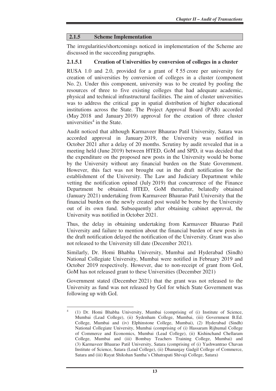#### **2.1.5 Scheme Implementation**

The irregularities/shortcomings noticed in implementation of the Scheme are discussed in the succeeding paragraphs.

#### **2.1.5.1 Creation of Universities by conversion of colleges in a cluster**

RUSA 1.0 and 2.0, provided for a grant of  $\overline{5}$  55 crore per university for creation of universities by conversion of colleges in a cluster (component No. 2). Under this component, university was to be created by pooling the resources of three to five existing colleges that had adequate academic, physical and technical infrastructural facilities. The aim of cluster universities was to address the critical gap in spatial distribution of higher educational institutions across the State. The Project Approval Board (PAB) accorded (May 2018 and January 2019) approval for the creation of three cluster universities<sup>4</sup> in the State.

Audit noticed that although Karmaveer Bhaurao Patil University, Satara was accorded approval in January 2019, the University was notified in October 2021 after a delay of 20 months. Scrutiny by audit revealed that in a meeting held (June 2019) between HTED, GoM and SPD, it was decided that the expenditure on the proposed new posts in the University would be borne by the University without any financial burden on the State Government. However, this fact was not brought out in the draft notification for the establishment of the University. The Law and Judiciary Department while vetting the notification opined (July 2019) that concurrence of the Finance Department be obtained. HTED, GoM thereafter, belatedly obtained (January 2021) undertaking from Karmaveer Bhaurao Patil University that the financial burden on the newly created post would be borne by the University out of its own fund. Subsequently after obtaining cabinet approval, the University was notified in October 2021.

Thus, the delay in obtaining undertaking from Karmaveer Bhaurao Patil University and failure to mention about the financial burden of new posts in the draft notification delayed the notification of the University. Grant was also not released to the University till date (December 2021).

Similarly, Dr. Homi Bhabha University, Mumbai and Hyderabad (Sindh) National Collegiate University, Mumbai were notified in February 2019 and October 2019 respectively. However, due to non-receipt of grant from GoI, GoM has not released grant to these Universities (December 2021)

Government stated (December 2021) that the grant was not released to the University as fund was not released by GoI for which State Government was following up with GoI.

<sup>4</sup> (1) Dr. Homi Bhabha University, Mumbai (comprising of (i) Institute of Science, Mumbai (Lead College), (ii) Sydenham College, Mumbai, (iii) Government B.Ed. College, Mumbai and (iv) Elphinstone College, Mumbai), (2) Hyderabad (Sindh) National Collegiate University, Mumbai (comprising of (i) Hassaram Rijhumal College of Commerce and Economics, Mumbai (Lead College), (ii) Kishinchand Chellaram College, Mumbai and (iii) Bombay Teachers Training College, Mumbai) and (3) Karmaveer Bhaurao Patil University, Satara (comprising of (i) Yashwantrao Chavan Institute of Science, Satara (Lead College), (ii) Dhananjay Gadgil College of Commerce, Satara and (iii) Rayat Shikshan Santha's Chhatrapati Shivaji College, Satara)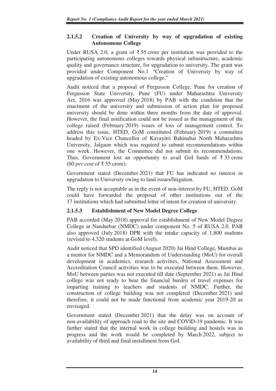# **2.1.5.2 Creation of University by way of upgradation of existing Autonomous College**

Under RUSA 2.0, a grant of ₹55 crore per institution was provided to the participating autonomous colleges towards physical infrastructure, academic quality and governance structure, for upgradation to university. The grant was provided under Component No.1 "Creation of University by way of upgradation of existing autonomous college."

Audit noticed that a proposal of Fergusson College, Pune for creation of Fergusson State University, Pune (FU) under Maharashtra University Act, 2016 was approved (May 2018) by PAB with the condition that the enactment of the university and submission of action plan for proposed university should be done within three months from the date of approval. However, the final notification could not be issued as the management of the college raised (February 2019) issues of loss of management control. To address this issue, HTED, GoM constituted (February 2019) a committee headed by Ex-Vice Chancellor of Kavayitri Bahinabai North Maharashtra University, Jalgaon which was required to submit recommendations within one week. However, the Committee did not submit its recommendations. Thus, Government lost an opportunity to avail GoI funds of  $\bar{\xi}$  33 crore (60 *per cent* of ₹ 55 crore).

Government stated (December 2021) that FU has indicated no interest in upgradation to University owing to land issues/litigation.

The reply is not acceptable as in the event of non-interest by FU, HTED, GoM could have forwarded the proposal of other institutions out of the 17 institutions which had submitted letter of intent for creation of university.

# **2.1.5.3 Establishment of New Model Degree College**

PAB accorded (May 2018) approval for establishment of New Model Degree College at Nandurbar (NMDC) under component No. 5 of RUSA 2.0. PAB also approved (July 2018) DPR with the intake capacity of 1,800 students (revised to 4,320 students at GoM level).

Audit noticed that SPD identified (August 2020) Jai Hind College, Mumbai as a mentor for NMDC and a Memorandum of Understanding (MoU) for overall development in academics, research activities, National Assessment and Accreditation Council activities was to be executed between them. However, MoU between parties was not executed till date (September 2021) as Jai Hind college was not ready to bear the financial burden of travel expenses for imparting training to teachers and students of NMDC. Further, the construction of college building was not completed (December 2021) and therefore, it could not be made functional from academic year 2019-20 as envisaged.

Government stated (December 2021) that the delay was on account of non-availability of approach road to the site and COVID-19 pandemic. It was further stated that the internal work in college building and hostels was in progress and the work would be completed by March 2022, subject to availability of third and final installment from GoI.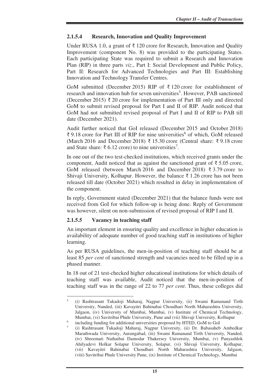# **2.1.5.4 Research, Innovation and Quality Improvement**

Under RUSA 1.0, a grant of ₹ 120 crore for Research, Innovation and Quality Improvement (component No. 8) was provided to the participating States. Each participating State was required to submit a Research and Innovation Plan (RIP) in three parts *viz*., Part I: Social Development and Public Policy, Part II: Research for Advanced Technologies and Part III: Establishing Innovation and Technology Transfer Centres.

GoM submitted (December 2015) RIP of ₹ 120 crore for establishment of research and innovation hub for seven universities<sup>5</sup>. However, PAB sanctioned (December 2015) ₹ 20 crore for implementation of Part III only and directed GoM to submit revised proposal for Part I and II of RIP. Audit noticed that GoM had not submitted revised proposal of Part I and II of RIP to PAB till date (December 2021).

Audit further noticed that GoI released (December 2015 and October 2018) ₹ 9.18 crore for Part III of RIP for nine universities<sup>6</sup> of which, GoM released (March 2016 and December 2018) ₹ 15.30 crore (Central share: ₹9.18 crore and State share: ₹ 6.12 crore) to nine universities<sup>7</sup>.

In one out of the two test-checked institutions, which received grants under the component, Audit noticed that as against the sanctioned grant of  $\bar{\tau}$  5.05 crore, GoM released (between March 2016 and December 2018) ₹ 3.79 crore to Shivaji University, Kolhapur. However, the balance  $\bar{\tau}$  1.26 crore has not been released till date (October 2021) which resulted in delay in implementation of the component.

In reply, Government stated (December 2021) that the balance funds were not received from GoI for which follow-up is being done. Reply of Government was however, silent on non-submission of revised proposal of RIP I and II.

# **2.1.5.5 Vacancy in teaching staff**

 $\overline{a}$ 

An important element in ensuring quality and excellence in higher education is availability of adequate number of good teaching staff in institutions of higher learning.

As per RUSA guidelines, the men-in-position of teaching staff should be at least 85 *per cent* of sanctioned strength and vacancies need to be filled up in a phased manner.

In 18 out of 21 test-checked higher educational institutions for which details of teaching staff was available, Audit noticed that the men-in-position of teaching staff was in the range of 22 to 77 *per cent*. Thus, these colleges did

<sup>5</sup> (i) Rashtrasant Tukadoji Maharaj, Nagpur University, (ii) Swami Ramanand Tirth University, Nanded, (iii) Kavayitri Bahinabai Choudhari North Maharashtra University, Jalgaon, (iv) University of Mumbai, Mumbai, (v) Institute of Chemical Technology, Mumbai, (vi) Savitribai Phule University, Pune and (vii) Shivaji University, Kolhapur

<sup>6</sup> including funding for additional universities proposed by HTED, GoM to GoI

<sup>7</sup> (i) Rashtrasant Tukadoji Maharaj, Nagpur University, (ii) Dr. Babasaheb Ambedkar Marathwada University, Aurangabad, (iii) Swami Ramanand Tirth University, Nanded, (iv) Shreemati Nathaibai Damodar Thakersey University, Mumbai, (v) Punyashlok Ahilyadevi Holkar Solapur University, Solapur, (vi) Shivaji University, Kolhapur, (vii) Kavayitri Bahinabai Choudhari North Maharashtra University, Jalgaon, (viii) Savitribai Phule University Pune, (ix) Institute of Chemical Technology, Mumbai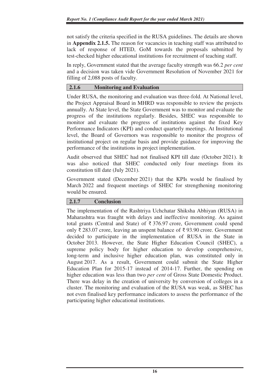not satisfy the criteria specified in the RUSA guidelines. The details are shown in **Appendix 2.1.5.** The reason for vacancies in teaching staff was attributed to lack of response of HTED, GoM towards the proposals submitted by test-checked higher educational institutions for recruitment of teaching staff.

In reply, Government stated that the average faculty strength was 66.2 *per cent* and a decision was taken vide Government Resolution of November 2021 for filling of 2,088 posts of faculty.

## **2.1.6 Monitoring and Evaluation**

Under RUSA, the monitoring and evaluation was three-fold. At National level, the Project Appraisal Board in MHRD was responsible to review the projects annually. At State level, the State Government was to monitor and evaluate the progress of the institutions regularly. Besides, SHEC was responsible to monitor and evaluate the progress of institutions against the fixed Key Performance Indicators (KPI) and conduct quarterly meetings. At Institutional level, the Board of Governors was responsible to monitor the progress of institutional project on regular basis and provide guidance for improving the performance of the institutions in project implementation.

Audit observed that SHEC had not finalised KPI till date (October 2021). It was also noticed that SHEC conducted only four meetings from its constitution till date (July 2021).

Government stated (December 2021) that the KPIs would be finalised by March 2022 and frequent meetings of SHEC for strengthening monitoring would be ensured.

#### **2.1.7 Conclusion**

The implementation of the Rashtriya Uchchatar Shiksha Abhiyan (RUSA) in Maharashtra was fraught with delays and ineffective monitoring. As against total grants (Central and State) of ₹ 376.97 crore, Government could spend only ₹ 283.07 crore, leaving an unspent balance of ₹ 93.90 crore. Government decided to participate in the implementation of RUSA in the State in October 2013. However, the State Higher Education Council (SHEC), a supreme policy body for higher education to develop comprehensive, long-term and inclusive higher education plan, was constituted only in August 2017. As a result, Government could submit the State Higher Education Plan for 2015-17 instead of 2014-17. Further, the spending on higher education was less than two *per cent* of Gross State Domestic Product. There was delay in the creation of university by conversion of colleges in a cluster. The monitoring and evaluation of the RUSA was weak, as SHEC has not even finalised key performance indicators to assess the performance of the participating higher educational institutions.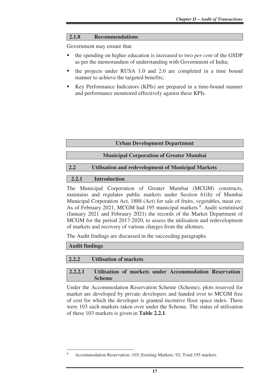#### **2.1.8 Recommendations**

Government may ensure that:

- the spending on higher education is increased to two *per cent* of the GSDP as per the memorandum of understanding with Government of India;
- the projects under RUSA 1.0 and 2.0 are completed in a time bound manner to achieve the targeted benefits;
- Key Performance Indicators (KPIs) are prepared in a time-bound manner and performance monitored effectively against these KPIs.

#### **Urban Development Department**

#### **Municipal Corporation of Greater Mumbai**

#### **2.2 Utilisation and redevelopment of Municipal Markets**

#### **2.2.1 Introduction**

The Municipal Corporation of Greater Mumbai (MCGM) constructs, maintains and regulates public markets under Section 61(h) of Mumbai Municipal Corporation Act, 1888 (Act) for sale of fruits, vegetables, meat *etc.*  As of February 2021, MCGM had 195 municipal markets<sup>8</sup>. Audit scrutinised (January 2021 and February 2021) the records of the Market Department of MCGM for the period 2017-2020, to assess the utilisation and redevelopment of markets and recovery of various charges from the allottees.

The Audit findings are discussed in the succeeding paragraphs.

#### **Audit findings**

 $\overline{a}$ 

#### **2.2.2 Utilisation of markets**

#### **2.2.2.1 Utilisation of markets under Accommodation Reservation Scheme**

Under the Accommodation Reservation Scheme (Scheme), plots reserved for market are developed by private developers and handed over to MCGM free of cost for which the developer is granted incentive floor space index. There were 103 such markets taken over under the Scheme. The status of utilisation of these 103 markets is given in **Table 2.2.1**.

<sup>8</sup> Accommodation Reservation :103; Existing Markets: 92; Total:195 markets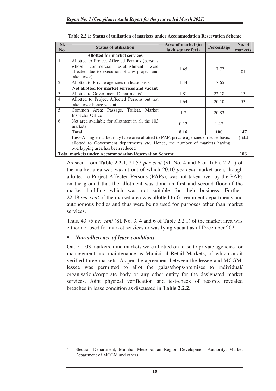| SI.<br>No.                                                                           | <b>Status of utilisation</b>                                                                                                                              | Area of market (in<br>lakh square feet) | Percentage | No. of<br>markets |  |
|--------------------------------------------------------------------------------------|-----------------------------------------------------------------------------------------------------------------------------------------------------------|-----------------------------------------|------------|-------------------|--|
|                                                                                      | <b>Allotted for market services</b>                                                                                                                       |                                         |            |                   |  |
| $\mathbf{1}$                                                                         | Allotted to Project Affected Persons (persons<br>commercial establishment<br>whose<br>were<br>affected due to execution of any project and<br>taken over) | 1.45                                    | 17.77      | 81                |  |
| 2                                                                                    | Allotted to Private agencies on lease basis                                                                                                               | 1.44                                    | 17.65      |                   |  |
|                                                                                      | Not allotted for market services and vacant                                                                                                               |                                         |            |                   |  |
| 3                                                                                    | Allotted to Government Departments <sup>9</sup>                                                                                                           | 1.81                                    | 22.18      | 13                |  |
| $\overline{4}$                                                                       | Allotted to Project Affected Persons but not<br>taken over hence vacant                                                                                   | 1.64                                    | 20.10      | 53                |  |
| 5                                                                                    | Common Area: Passage, Toilets, Market<br>Inspector Office                                                                                                 | 1.7                                     | 20.83      |                   |  |
| 6                                                                                    | Net area available for allotment in all the 103<br>markets                                                                                                | 0.12                                    | 1.47       |                   |  |
|                                                                                      | 8.16<br><b>Total</b><br>100                                                                                                                               |                                         |            |                   |  |
| Less-A single market may have area allotted to PAP, private agencies on lease basis, |                                                                                                                                                           |                                         |            | $(-)44$           |  |
| allotted to Government departments etc. Hence, the number of markets having          |                                                                                                                                                           |                                         |            |                   |  |
| overlapping area has been reduced                                                    |                                                                                                                                                           |                                         |            |                   |  |
| <b>Total markets under Accommodation Reservation Scheme</b>                          |                                                                                                                                                           |                                         |            |                   |  |

| Table 2.2.1: Status of utilisation of markets under Accommodation Reservation Scheme |  |
|--------------------------------------------------------------------------------------|--|
|--------------------------------------------------------------------------------------|--|

As seen from **Table 2.2.1**, 21.57 *per cent* (Sl. No. 4 and 6 of Table 2.2.1) of the market area was vacant out of which 20.10 *per cent* market area, though allotted to Project Affected Persons (PAPs), was not taken over by the PAPs on the ground that the allotment was done on first and second floor of the market building which was not suitable for their business. Further, 22.18 *per cent* of the market area was allotted to Government departments and autonomous bodies and thus were being used for purposes other than market services.

Thus, 43.75 *per cent* (Sl. No. 3, 4 and 6 of Table 2.2.1) of the market area was either not used for market services or was lying vacant as of December 2021.

# *Non-adherence of lease conditions*

 $\overline{a}$ 

Out of 103 markets, nine markets were allotted on lease to private agencies for management and maintenance as Municipal Retail Markets, of which audit verified three markets. As per the agreement between the lessee and MCGM, lessee was permitted to allot the galas/shops/premises to individual/ organisation/corporate body or any other entity for the designated market services. Joint physical verification and test-check of records revealed breaches in lease condition as discussed in **Table 2.2.2**.

<sup>9</sup> Election Department, Mumbai Metropolitan Region Development Authority, Market Department of MCGM and others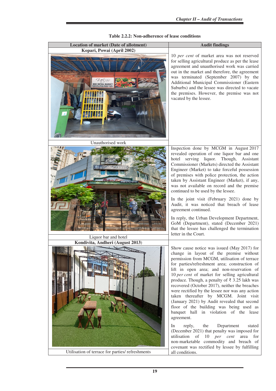| Kopari, Powai (April 2002)<br>10 per cent of market area was not reserved<br>for selling agricultural produce as per the lease<br>agreement and unauthorised work was carried<br>out in the market and therefore, the agreement<br>was terminated (September 2007) by the<br>Additional Municipal Commissioner (Eastern<br>Suburbs) and the lessee was directed to vacate<br>the premises. However, the premise was not<br>vacated by the lessee.<br>Unauthorised work<br>Inspection done by MCGM in August 2017<br>revealed operation of one liquor bar and one<br>hotel serving liquor. Though, Assistant<br>Commissioner (Markets) directed the Assistant<br>Engineer (Market) to take forceful possession<br>of premises with police protection, the action<br>taken by Assistant Engineer (Market), if any,<br><b>Resto Ba</b><br>was not available on record and the premise<br>continued to be used by the lessee.<br>In the joint visit (February 2021) done by<br>Audit, it was noticed that breach of lease<br>agreement continued.<br>In reply, the Urban Development Department,<br>GoM (Department), stated (December 2021)<br>that the lessee has challenged the termination<br>letter in the Court.<br>Liquor bar and hotel<br>Kondivita, Andheri (August 2013)<br>Show cause notice was issued (May 2017) for<br>change in layout of the premise without<br>permission from MCGM, utilisation of terrace<br>for parties/refreshment area; construction of<br>lift in open area; and non-reservation of<br>10 per cent of market for selling agricultural<br>produce. Though, a penalty of $\bar{\xi}$ 3.25 lakh was<br>recovered (October 2017), neither the breaches<br>were rectified by the lessee nor was any action<br>taken thereafter by MCGM. Joint visit<br>(January 2021) by Audit revealed that second<br>floor of the building was being used as<br>banquet hall in violation of the lease<br>agreement.<br>Department<br>reply,<br>the<br>stated<br>In<br>(December 2021) that penalty was imposed for<br>utilisation<br>10<br>per cent<br>of<br>area<br>for<br>non-marketable commodity and breach of<br>covenant was rectified by lessee by fulfilling | <b>Location of market (Date of allotment)</b>    | <b>Audit findings</b> |
|---------------------------------------------------------------------------------------------------------------------------------------------------------------------------------------------------------------------------------------------------------------------------------------------------------------------------------------------------------------------------------------------------------------------------------------------------------------------------------------------------------------------------------------------------------------------------------------------------------------------------------------------------------------------------------------------------------------------------------------------------------------------------------------------------------------------------------------------------------------------------------------------------------------------------------------------------------------------------------------------------------------------------------------------------------------------------------------------------------------------------------------------------------------------------------------------------------------------------------------------------------------------------------------------------------------------------------------------------------------------------------------------------------------------------------------------------------------------------------------------------------------------------------------------------------------------------------------------------------------------------------------------------------------------------------------------------------------------------------------------------------------------------------------------------------------------------------------------------------------------------------------------------------------------------------------------------------------------------------------------------------------------------------------------------------------------------------------------------------------------------------------------------------------------------------------|--------------------------------------------------|-----------------------|
|                                                                                                                                                                                                                                                                                                                                                                                                                                                                                                                                                                                                                                                                                                                                                                                                                                                                                                                                                                                                                                                                                                                                                                                                                                                                                                                                                                                                                                                                                                                                                                                                                                                                                                                                                                                                                                                                                                                                                                                                                                                                                                                                                                                       |                                                  |                       |
|                                                                                                                                                                                                                                                                                                                                                                                                                                                                                                                                                                                                                                                                                                                                                                                                                                                                                                                                                                                                                                                                                                                                                                                                                                                                                                                                                                                                                                                                                                                                                                                                                                                                                                                                                                                                                                                                                                                                                                                                                                                                                                                                                                                       |                                                  |                       |
|                                                                                                                                                                                                                                                                                                                                                                                                                                                                                                                                                                                                                                                                                                                                                                                                                                                                                                                                                                                                                                                                                                                                                                                                                                                                                                                                                                                                                                                                                                                                                                                                                                                                                                                                                                                                                                                                                                                                                                                                                                                                                                                                                                                       |                                                  |                       |
|                                                                                                                                                                                                                                                                                                                                                                                                                                                                                                                                                                                                                                                                                                                                                                                                                                                                                                                                                                                                                                                                                                                                                                                                                                                                                                                                                                                                                                                                                                                                                                                                                                                                                                                                                                                                                                                                                                                                                                                                                                                                                                                                                                                       |                                                  |                       |
|                                                                                                                                                                                                                                                                                                                                                                                                                                                                                                                                                                                                                                                                                                                                                                                                                                                                                                                                                                                                                                                                                                                                                                                                                                                                                                                                                                                                                                                                                                                                                                                                                                                                                                                                                                                                                                                                                                                                                                                                                                                                                                                                                                                       |                                                  |                       |
| all conditions.                                                                                                                                                                                                                                                                                                                                                                                                                                                                                                                                                                                                                                                                                                                                                                                                                                                                                                                                                                                                                                                                                                                                                                                                                                                                                                                                                                                                                                                                                                                                                                                                                                                                                                                                                                                                                                                                                                                                                                                                                                                                                                                                                                       | Utilisation of terrace for parties/ refreshments |                       |

#### **Table 2.2.2: Non-adherence of lease conditions**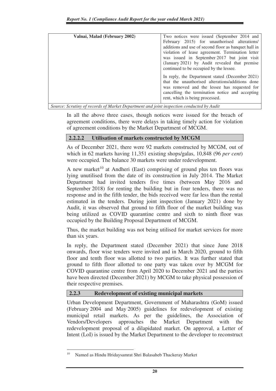| Valnai, Malad (February 2002)                                                                                                                                                                                                                                                                            | Two notices were issued (September 2014 and<br>February 2015) for unauthorised alterations/<br>additions and use of second floor as banquet hall in<br>violation of lease agreement. Termination letter<br>was issued in September 2017 but joint visit<br>(January 2021) by Audit revealed that premise<br>continued to be occupied by the lessee. |
|----------------------------------------------------------------------------------------------------------------------------------------------------------------------------------------------------------------------------------------------------------------------------------------------------------|-----------------------------------------------------------------------------------------------------------------------------------------------------------------------------------------------------------------------------------------------------------------------------------------------------------------------------------------------------|
|                                                                                                                                                                                                                                                                                                          | In reply, the Department stated (December 2021)<br>that the unauthorised alterations/additions done<br>was removed and the lessee has requested for<br>cancelling the termination notice and accepting<br>rent, which is being processed.                                                                                                           |
| $\alpha$ are $\alpha$ in the $\alpha$ in the $\alpha$ is the $\alpha$ in the $\alpha$ is the $\alpha$ in the $\alpha$ is the $\alpha$ in $\alpha$ is the $\alpha$ is the $\alpha$ is the $\alpha$ is the $\alpha$ is the $\alpha$ is the $\alpha$ is the $\alpha$ is the $\alpha$ is the $\alpha$ is the |                                                                                                                                                                                                                                                                                                                                                     |

*Source: Scrutiny of records of Market Department and joint inspection conducted by Audit* 

In all the above three cases, though notices were issued for the breach of agreement conditions, there were delays in taking timely action for violation of agreement conditions by the Market Department of MCGM.

#### **2.2.2.2 Utilisation of markets constructed by MCGM**

As of December 2021, there were 92 markets constructed by MCGM, out of which in 62 markets having 11,351 existing shops/galas, 10,848 (96 *per cent*) were occupied. The balance 30 markets were under redevelopment.

A new market<sup>10</sup> at Andheri (East) comprising of ground plus ten floors was lying unutilised from the date of its construction in July 2014. The Market Department had invited tenders five times (between May 2016 and September 2018) for renting the building but in four tenders, there was no response and in the fifth tender, the bids received were far less than the rental estimated in the tenders. During joint inspection (January 2021) done by Audit, it was observed that ground to fifth floor of the market building was being utilized as COVID quarantine centre and sixth to ninth floor was occupied by the Building Proposal Department of MCGM.

Thus, the market building was not being utilised for market services for more than six years.

In reply, the Department stated (December 2021) that since June 2018 onwards, floor wise tenders were invited and in March 2020, ground to fifth floor and tenth floor was allotted to two parties. It was further stated that ground to fifth floor allotted to one party was taken over by MCGM for COVID quarantine centre from April 2020 to December 2021 and the parties have been directed (December 2021) by MCGM to take physical possession of their respective premises.

#### **2.2.3 Redevelopment of existing municipal markets**

Urban Development Department, Government of Maharashtra (GoM) issued (February 2004 and May 2005) guidelines for redevelopment of existing municipal retail markets. As per the guidelines, the Association of Vendors/Developers approaches the Market Department with the redevelopment proposal of a dilapidated market. On approval, a Letter of Intent (LoI) is issued by the Market Department to the developer to reconstruct

<sup>10</sup> Named as Hindu Hridaysamrat Shri Balasaheb Thackeray Market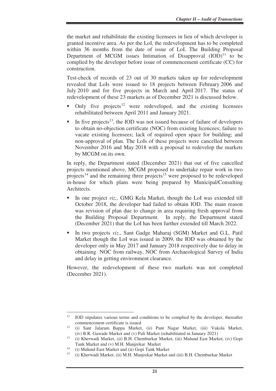the market and rehabilitate the existing licensees in lieu of which developer is granted incentive area. As per the LoI, the redevelopment has to be completed within 36 months from the date of issue of LoI. The Building Proposal Department of MCGM issues Intimation of Disapproval  $(IOD)^{11}$  to be complied by the developer before issue of commencement certificate (CC) for construction.

Test-check of records of 23 out of 30 markets taken up for redevelopment revealed that LoIs were issued to 18 projects between February 2006 and July 2010 and for five projects in March and April 2017. The status of redevelopment of these 23 markets as of December 2021 is discussed below.

- Only five projects<sup>12</sup> were redeveloped, and the existing licensees rehabilitated between April 2011 and January 2021.
- In five projects<sup>13</sup>, the IOD was not issued because of failure of developers to obtain no-objection certificate (NOC) from existing licencees; failure to vacate existing licensees; lack of required open space for building; and non-approval of plan. The LoIs of these projects were cancelled between November 2016 and May 2018 with a proposal to redevelop the markets by MCGM on its own.

In reply, the Department stated (December 2021) that out of five cancelled projects mentioned above, MCGM proposed to undertake repair work in two projects<sup>14</sup> and the remaining three projects<sup>15</sup> were proposed to be redeveloped in-house for which plans were being prepared by Municipal/Consulting Architects.

- In one project *viz.,* GMG Kela Market, though the LoI was extended till October 2018, the developer had failed to obtain IOD. The main reason was revision of plan due to change in area requiring fresh approval from the Building Proposal Department. In reply, the Department stated (December 2021) that the LoI has been further extended till March 2022.
- In two projects *viz*., Sant Gadge Maharaj (SGM) Market and G.L. Patil Market though the LoI was issued in 2009, the IOD was obtained by the developer only in May 2017 and January 2018 respectively due to delay in obtaining NOC from railway, NOC from Archaeological Survey of India and delay in getting environment clearance.

However, the redevelopment of these two markets was not completed (December 2021).

<sup>&</sup>lt;sup>11</sup> IOD stipulates various terms and conditions to be complied by the developer, thereafter commencement certificate is issued<br><sup>12</sup> (i) Sont, Johann, Bonne, Market

<sup>12</sup> (i) Sant Jalaram Bappa Market, (ii) Pant Nagar Market, (iii) Vakola Market, (iv) B.R. Gawade Market and (v) Pali Market (rehabilitated in January 2021)

<sup>13</sup> (i) Kherwadi Market, (ii) B.H. Chemburkar Market, (iii) Mulund East Market, (iv) Gopi Tank Market and (v) M.H. Manjrekar Market<br><sup>14</sup> (i) Mulund East Market and (ii) Goni Tank Ma

<sup>&</sup>lt;sup>14</sup> (i) Mulund East Market and (ii) Gopi Tank Market  $^{15}$  (i) *V* between Market (ii) M H Manitekta Market a

<sup>15</sup> (i) Kherwadi Market, (ii) M.H. Manjrekar Market and (iii) B.H. Chemburkar Market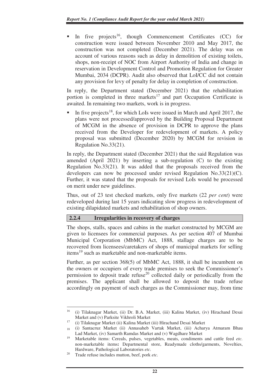In five projects<sup>16</sup>, though Commencement Certificates  $(CC)$  for construction were issued between November 2010 and May 2017, the construction was not completed (December 2021). The delay was on account of various reasons such as delay in demolition of existing toilets, shops, non-receipt of NOC from Airport Authority of India and change in reservation in Development Control and Promotion Regulation for Greater Mumbai, 2034 (DCPR). Audit also observed that LoI/CC did not contain any provision for levy of penalty for delay in completion of construction.

In reply, the Department stated (December 2021) that the rehabilitation portion is completed in three markets<sup>17</sup> and part Occupation Certificate is awaited. In remaining two markets, work is in progress.

In five projects<sup>18</sup>, for which LoIs were issued in March and April 2017, the plans were not processed/approved by the Building Proposal Department of MCGM in the absence of provision in DCPR to approve the plans received from the Developer for redevelopment of markets. A policy proposal was submitted (December 2020) by MCGM for revision in Regulation No.33(21).

In reply, the Department stated (December 2021) that the said Regulation was amended (April 2021) by inserting a sub-regulation (C) to the existing Regulation No.33(21). It was added that the proposals received from the developers can now be processed under revised Regulation No.33(21)(C). Further, it was stated that the proposals for revised LoIs would be processed on merit under new guidelines.

Thus, out of 23 test checked markets, only five markets (22 *per cent*) were redeveloped during last 15 years indicating slow progress in redevelopment of existing dilapidated markets and rehabilitation of shop owners.

#### **2.2.4 Irregularities in recovery of charges**

The shops, stalls, spaces and cabins in the market constructed by MCGM are given to licensees for commercial purposes. As per section 407 of Mumbai Municipal Corporation (MbMC) Act, 1888, stallage charges are to be recovered from licensees/caretakers of shops of municipal markets for selling items<sup>19</sup> such as marketable and non-marketable items.

Further, as per section 368(5) of MbMC Act, 1888, it shall be incumbent on the owners or occupiers of every trade premises to seek the Commissioner's permission to deposit trade refuse<sup>20</sup> collected daily or periodically from the premises. The applicant shall be allowed to deposit the trade refuse accordingly on payment of such charges as the Commissioner may, from time

<sup>16</sup> (i) Tilaknagar Market, (ii) Dr. B.A. Market, (iii) Kalina Market, (iv) Hirachand Desai Market and (v) Parksite Vikhroli Market<br>
<sup>17</sup> (i) Tilsknager Market (ii) Kolina Market

<sup>17</sup> (i) Tilaknagar Market (ii) Kalina Market (iii) Hirachand Desai Market

<sup>18</sup> (i) Santacruz Market (ii) Annasaheb Vartak Market, (iii) Acharya Atmaram Bhau Lad Market, (iv) Samarth Ramdas Market and (v) Wagdhare Market

<sup>19</sup> Marketable items: Cereals, pulses, vegetables, meats, condiments and cattle feed *etc.*  non-marketable items**:** Departmental store, Readymade cloths/garments, Novelties, Hardware, Pathological Laboratories *etc.*

<sup>20</sup> Trade refuse includes mutton, beef, pork *etc.*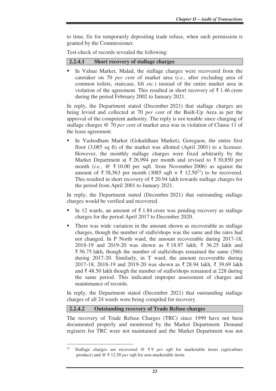to time, fix for temporarily depositing trade refuse, when such permission is granted by the Commissioner.

Test-check of records revealed the following:

| 2.2.4.1 | <b>Short recovery of stallage charges</b> |
|---------|-------------------------------------------|
|---------|-------------------------------------------|

In Valnai Market, Malad, the stallage charges were recovered from the caretaker on 70 *per cent* of market area (*i.e.,* after excluding area of common toilets, staircase, lift *etc.*) instead of the entire market area in violation of the agreement. This resulted in short recovery of  $\bar{\tau}$  1.46 crore during the period February 2002 to January 2021.

In reply, the Department stated (December 2021) that stallage charges are being levied and collected at 70 *per cent* of the Built-Up Area as per the approval of the competent authority. The reply is not tenable since charging of stallage charges @ 70 *per cent* of market area was in violation of Clause 11 of the lease agreement.

 In Yashodham Market (Gokuldham Market), Goregaon, the entire first floor (3,085 sq ft) of the market was allotted (April 2001) to a licensee. However, the monthly stallage charges were fixed arbitrarily by the Market Department at ₹ 26,994 per month and revised to ₹ 30,850 per month (*i.e.,* @ ₹ 10.00 per sqft. from November 2006) as against the amount of ₹38,563 per month (3085 sqft  $\times \xi$  12.50<sup>21</sup>) to be recovered. This resulted in short recovery of  $\bar{\tau}$  20.94 lakh towards stallage charges for the period from April 2001 to January 2021.

In reply, the Department stated (December 2021) that outstanding stallage charges would be verified and recovered.

- In 12 wards, an amount of ₹1.84 crore was pending recovery as stallage charges for the period April 2017 to December 2020.
- There was wide variation in the amount shown as recoverable as stallage charges, though the number of stalls/shops was the same and the rates had not changed. In P North ward, the amount recoverable during 2017-18, 2018-19 and 2019-20 was shown as ₹ 18.97 lakh, ₹ 36.25 lakh and ₹ 56.75 lakh, though the number of stalls/shops remained the same (586) during 2017-20. Similarly, in T ward, the amount recoverable during 2017-18, 2018-19 and 2019-20 was shown as ₹ 28.94 lakh, ₹ 39.69 lakh and ₹ 48.50 lakh though the number of stalls/shops remained at 228 during the same period. This indicated improper assessment of charges and maintenance of records.

In reply, the Department stated (December 2021) that outstanding stallage charges of all 24 wards were being compiled for recovery.

#### **2.2.4.2 Outstanding recovery of Trade Refuse charges**

 $\overline{a}$ 

The recovery of Trade Refuse Charges (TRC) since 1999 have not been documented properly and monitored by the Market Department. Demand registers for TRC were not maintained and the Market Department was not

<sup>21</sup> Stallage charges are recovered @ ₹ 9 *per* sqft for marketable items (agriculture produce) and @ ₹ 12.50 *per* sqft for non-marketable items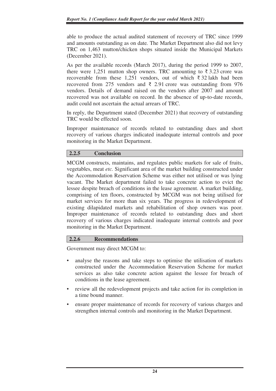able to produce the actual audited statement of recovery of TRC since 1999 and amounts outstanding as on date*.* The Market Department also did not levy TRC on 1,463 mutton/chicken shops situated inside the Municipal Markets (December 2021).

As per the available records (March 2017), during the period 1999 to 2007, there were 1,251 mutton shop owners. TRC amounting to  $\bar{\tau}$  3.23 crore was recoverable from these 1,251 vendors, out of which ₹ 32 lakh had been recovered from 275 vendors and  $\bar{\xi}$  2.91 crore was outstanding from 976 vendors. Details of demand raised on the vendors after 2007 and amount recovered was not available on record. In the absence of up-to-date records, audit could not ascertain the actual arrears of TRC*.*

In reply, the Department stated (December 2021) that recovery of outstanding TRC would be effected soon.

Improper maintenance of records related to outstanding dues and short recovery of various charges indicated inadequate internal controls and poor monitoring in the Market Department.

## **2.2.5 Conclusion**

MCGM constructs, maintains, and regulates public markets for sale of fruits, vegetables, meat *etc.* Significant area of the market building constructed under the Accommodation Reservation Scheme was either not utilised or was lying vacant. The Market department failed to take concrete action to evict the lessee despite breach of conditions in the lease agreement. A market building, comprising of ten floors, constructed by MCGM was not being utilised for market services for more than six years. The progress in redevelopment of existing dilapidated markets and rehabilitation of shop owners was poor. Improper maintenance of records related to outstanding dues and short recovery of various charges indicated inadequate internal controls and poor monitoring in the Market Department.

#### **2.2.6 Recommendations**

Government may direct MCGM to:

- analyse the reasons and take steps to optimise the utilisation of markets constructed under the Accommodation Reservation Scheme for market services as also take concrete action against the lessee for breach of conditions in the lease agreement.
- review all the redevelopment projects and take action for its completion in a time bound manner.
- ensure proper maintenance of records for recovery of various charges and strengthen internal controls and monitoring in the Market Department.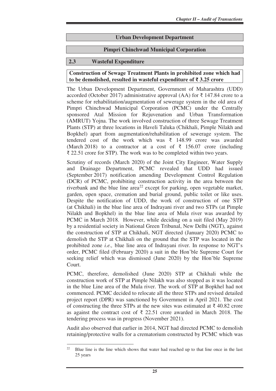#### **Urban Development Department**

#### **Pimpri Chinchwad Municipal Corporation**

#### **2.3 Wasteful Expenditure**

#### **Construction of Sewage Treatment Plants in prohibited zone which had to be demolished, resulted in wasteful expenditure of ₹ 3.25 crore**

The Urban Development Department, Government of Maharashtra (UDD) accorded (October 2017) administrative approval (AA) for ₹ 147.84 crore to a scheme for rehabilitation/augmentation of sewerage system in the old area of Pimpri Chinchwad Municipal Corporation (PCMC) under the Centrally sponsored Atal Mission for Rejuvenation and Urban Transformation (AMRUT) Yojna. The work involved construction of three Sewage Treatment Plants (STP) at three locations in Haveli Taluka (Chikhali, Pimple Nilakh and Bopkhel) apart from augmentation/rehabilitation of sewerage system. The tendered cost of the work which was ₹ 148.99 crore was awarded (March 2018) to a contractor at a cost of  $\bar{\tau}$  156.07 crore (including ₹ 22.51 crore for STP). The work was to be completed within two years.

Scrutiny of records (March 2020) of the Joint City Engineer, Water Supply and Drainage Department, PCMC revealed that UDD had issued (September 2017) notification amending Development Control Regulation (DCR) of PCMC, prohibiting construction activity in the area between the riverbank and the blue line area<sup>22</sup> except for parking, open vegetable market, garden, open space, cremation and burial ground, public toilet or like uses. Despite the notification of UDD, the work of construction of one STP (at Chikhali) in the blue line area of Indrayani river and two STPs (at Pimple Nilakh and Bopkhel) in the blue line area of Mula river was awarded by PCMC in March 2018. However, while deciding on a suit filed (May 2019) by a residential society in National Green Tribunal, New Delhi (NGT), against the construction of STP at Chikhali, NGT directed (January 2020) PCMC to demolish the STP at Chikhali on the ground that the STP was located in the prohibited zone *i.e.,* blue line area of Indrayani river. In response to NGT's order, PCMC filed (February 2020) a suit in the Hon'ble Supreme Court for seeking relief which was dismissed (June 2020) by the Hon'ble Supreme Court.

PCMC, therefore, demolished (June 2020) STP at Chikhali while the construction work of STP at Pimple Nilakh was also stopped as it was located in the blue Line area of the Mula river. The work of STP at Bopkhel had not commenced. PCMC decided to relocate all the three STPs and revised detailed project report (DPR) was sanctioned by Government in April 2021. The cost of constructing the three STPs at the new sites was estimated at  $\bar{\xi}$  40.82 crore as against the contract cost of  $\bar{\tau}$  22.51 crore awarded in March 2018. The tendering process was in progress (November 2021).

Audit also observed that earlier in 2014, NGT had directed PCMC to demolish retaining/protective walls for a crematorium constructed by PCMC which was

<sup>&</sup>lt;sup>22</sup> Blue line is the line which shows that water had reached up to that line once in the last 25 years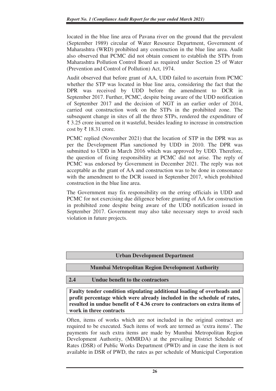located in the blue line area of Pavana river on the ground that the prevalent (September 1989) circular of Water Resource Department, Government of Maharashtra (WRD) prohibited any construction in the blue line area. Audit also observed that PCMC did not obtain consent to establish the STPs from Maharashtra Pollution Control Board as required under Section 25 of Water (Prevention and Control of Pollution) Act, 1974.

Audit observed that before grant of AA, UDD failed to ascertain from PCMC whether the STP was located in blue line area, considering the fact that the DPR was received by UDD before the amendment to DCR in September 2017. Further, PCMC, despite being aware of the UDD notification of September 2017 and the decision of NGT in an earlier order of 2014, carried out construction work on the STPs in the prohibited zone. The subsequent change in sites of all the three STPs, rendered the expenditure of ₹ 3.25 crore incurred on it wasteful, besides leading to increase in construction cost by ₹ 18.31 crore.

PCMC replied (November 2021) that the location of STP in the DPR was as per the Development Plan sanctioned by UDD in 2010. The DPR was submitted to UDD in March 2016 which was approved by UDD. Therefore, the question of fixing responsibility at PCMC did not arise. The reply of PCMC was endorsed by Government in December 2021. The reply was not acceptable as the grant of AA and construction was to be done in consonance with the amendment to the DCR issued in September 2017, which prohibited construction in the blue line area.

The Government may fix responsibility on the erring officials in UDD and PCMC for not exercising due diligence before granting of AA for construction in prohibited zone despite being aware of the UDD notification issued in September 2017. Government may also take necessary steps to avoid such violation in future projects.

# **Urban Development Department**

# **Mumbai Metropolitan Region Development Authority**

#### **2.4 Undue benefit to the contractors**

**Faulty tender condition stipulating additional loading of overheads and profit percentage which were already included in the schedule of rates, resulted in undue benefit of ₹ 4.36 crore to contractors on extra items of work in three contracts** 

Often, items of works which are not included in the original contract are required to be executed. Such items of work are termed as 'extra items'. The payments for such extra items are made by Mumbai Metropolitan Region Development Authority, (MMRDA) at the prevailing District Schedule of Rates (DSR) of Public Works Department (PWD) and in case the item is not available in DSR of PWD, the rates as per schedule of Municipal Corporation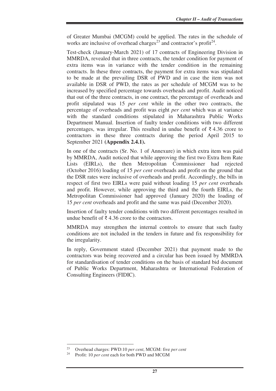of Greater Mumbai (MCGM) could be applied. The rates in the schedule of works are inclusive of overhead charges<sup>23</sup> and contractor's profit<sup>24</sup>.

Test-check (January-March 2021) of 17 contracts of Engineering Division in MMRDA, revealed that in three contracts, the tender condition for payment of extra items was in variance with the tender condition in the remaining contracts. In these three contracts, the payment for extra items was stipulated to be made at the prevailing DSR of PWD and in case the item was not available in DSR of PWD, the rates as per schedule of MCGM was to be increased by specified percentage towards overheads and profit. Audit noticed that out of the three contracts, in one contract, the percentage of overheads and profit stipulated was 15 *per cent* while in the other two contracts, the percentage of overheads and profit was eight *per cent* which was at variance with the standard conditions stipulated in Maharashtra Public Works Department Manual. Insertion of faulty tender conditions with two different percentages, was irregular. This resulted in undue benefit of  $\bar{\tau}$  4.36 crore to contractors in these three contracts during the period April 2015 to September 2021 **(Appendix 2.4.1).**

In one of the contracts (Sr. No. 1 of Annexure) in which extra item was paid by MMRDA, Audit noticed that while approving the first two Extra Item Rate Lists (EIRLs), the then Metropolitan Commissioner had rejected (October 2016) loading of 15 *per cent* overheads and profit on the ground that the DSR rates were inclusive of overheads and profit. Accordingly, the bills in respect of first two EIRLs were paid without loading 15 *per cent* overheads and profit. However, while approving the third and the fourth EIRLs, the Metropolitan Commissioner had approved (January 2020) the loading of 15 *per cent* overheads and profit and the same was paid (December 2020).

Insertion of faulty tender conditions with two different percentages resulted in undue benefit of  $\bar{\xi}$  4.36 crore to the contractors.

MMRDA may strengthen the internal controls to ensure that such faulty conditions are not included in the tenders in future and fix responsibility for the irregularity.

In reply, Government stated (December 2021) that payment made to the contractors was being recovered and a circular has been issued by MMRDA for standardisation of tender conditions on the basis of standard bid document of Public Works Department, Maharashtra or International Federation of Consulting Engineers (FIDIC).

<sup>23</sup> Overhead charges: PWD:10 *per cent*, MCGM: five *per cent*

Profit: 10 *per cent* each for both PWD and MCGM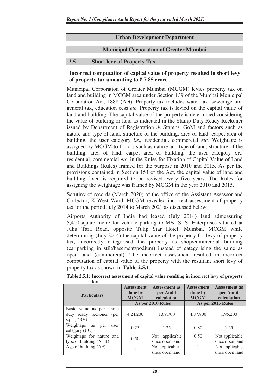#### **Urban Development Department**

#### **Municipal Corporation of Greater Mumbai**

#### **2.5 Short levy of Property Tax**

#### **Incorrect computation of capital value of property resulted in short levy of property tax amounting to ₹ 7.85 crore**

Municipal Corporation of Greater Mumbai (MCGM) levies property tax on land and building in MCGM area under Section 139 of the Mumbai Municipal Corporation Act, 1888 (Act). Property tax includes water tax, sewerage tax, general tax, education cess *etc.* Property tax is levied on the capital value of land and building. The capital value of the property is determined considering the value of building or land as indicated in the Stamp Duty Ready Reckoner issued by Department of Registration & Stamps, GoM and factors such as nature and type of land, structure of the building, area of land, carpet area of building, the user category *i.e.,* residential, commercial *etc.* Weightage is assigned by MCGM to factors such as nature and type of land, structure of the building, area of land, carpet area of building, the user category *i.e.,* residential, commercial *etc.* in the Rules for Fixation of Capital Value of Land and Buildings (Rules) framed for the purpose in 2010 and 2015*.* As per the provisions contained in Section 154 of the Act, the capital value of land and building fixed is required to be revised every five years. The Rules for assigning the weightage was framed by MCGM in the year 2010 and 2015.

Scrutiny of records (March 2020) of the office of the Assistant Assessor and Collector, K-West Ward, MCGM revealed incorrect assessment of property tax for the period July 2014 to March 2021 as discussed below.

Airports Authority of India had leased (July 2014) land admeasuring 5,400 square metre for vehicle parking to M/s. S. S. Enterprises situated at Juhu Tara Road, opposite Tulip Star Hotel, Mumbai. MCGM while determining (July 2014) the capital value of the property for levy of property tax, incorrectly categorised the property as shop/commercial building (car parking in stilt/basement/podium) instead of categorising the same as open land (commercial). The incorrect assessment resulted in incorrect computation of capital value of the property with the resultant short levy of property tax as shown in **Table 2.5.1**.

| <b>Particulars</b>                                                    | <b>Assessment as</b><br><b>Assessment</b><br>done by<br>per Audit<br><b>MCGM</b><br>calculation<br>As per 2010 Rules |                                      | <b>Assessment as</b><br><b>Assessment</b><br>done by<br>per Audit<br><b>MCGM</b><br>calculation<br>As per 2015 Rules |                                   |
|-----------------------------------------------------------------------|----------------------------------------------------------------------------------------------------------------------|--------------------------------------|----------------------------------------------------------------------------------------------------------------------|-----------------------------------|
| Basic value as per stamp<br>duty ready reckoner (per<br>sqmt $)$ (BV) | 4,24,200                                                                                                             | 1,69,700                             | 4,87,800                                                                                                             | 1,95,200                          |
| Weightage<br>as<br>per<br>user<br>category $(UC)$                     | 0.25                                                                                                                 | 1.25                                 | 0.80                                                                                                                 | 1.25                              |
| Weightage for nature and<br>type of building (NTB)                    | 0.50                                                                                                                 | applicable<br>Not<br>since open land | 0.50                                                                                                                 | Not applicable<br>since open land |
| Age of building (AF)                                                  |                                                                                                                      | Not applicable<br>since open land    |                                                                                                                      | Not applicable<br>since open land |

**Table 2.5.1: Incorrect assessment of capital value resulting in incorrect levy of property tax**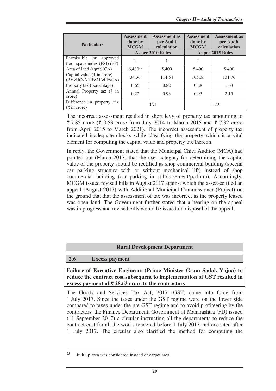| <b>Particulars</b>                                                       | <b>Assessment</b><br><b>Assessment as</b><br>per Audit<br>done by<br><b>MCGM</b><br>calculation<br>As per 2010 Rules |        | <b>Assessment</b><br><b>Assessment as</b><br>per Audit<br>done by<br><b>MCGM</b><br>calculation<br>As per 2015 Rules |        |
|--------------------------------------------------------------------------|----------------------------------------------------------------------------------------------------------------------|--------|----------------------------------------------------------------------------------------------------------------------|--------|
| Permissible<br>approved<br><sub>or</sub><br>floor space index (FSI) (FF) |                                                                                                                      |        |                                                                                                                      |        |
| Area of land $(sqmt)(CA)$                                                | $6,480^{25}$                                                                                                         | 5,400  | 5,400                                                                                                                | 5,400  |
| Capital value ( $\bar{\tau}$ in crore)<br>(BV×UC×NTB×AF×FF×CA)           | 34.36                                                                                                                | 114.54 | 105.36                                                                                                               | 131.76 |
| Property tax (percentage)                                                | 0.65                                                                                                                 | 0.82   | 0.88                                                                                                                 | 1.63   |
| Annual Property tax $(\xi$ in<br>crore)                                  | 0.22                                                                                                                 | 0.93   | 0.93                                                                                                                 | 2.15   |
| Difference in property tax<br>$(\xi$ in crore)                           | 0.71                                                                                                                 |        | 1.22                                                                                                                 |        |

The incorrect assessment resulted in short levy of property tax amounting to ₹ 7.85 crore (₹ 0.53 crore from July 2014 to March 2015 and ₹ 7.32 crore from April 2015 to March 2021). The incorrect assessment of property tax indicated inadequate checks while classifying the property which is a vital element for computing the capital value and property tax thereon.

In reply, the Government stated that the Municipal Chief Auditor (MCA) had pointed out (March 2017) that the user category for determining the capital value of the property should be rectified as shop commercial building (special car parking structure with or without mechanical lift) instead of shop commercial building (car parking in stilt/basement/podium). Accordingly, MCGM issued revised bills in August 2017 against which the assessee filed an appeal (August 2017) with Additional Municipal Commissioner (Project) on the ground that that the assessment of tax was incorrect as the property leased was open land. The Government further stated that a hearing on the appeal was in progress and revised bills would be issued on disposal of the appeal.

#### **Rural Development Department**

#### **2.6 Excess payment**

 $\overline{a}$ 

**Failure of Executive Engineers (Prime Minister Gram Sadak Yojna) to reduce the contract cost subsequent to implementation of GST resulted in excess payment of ₹ 28.63 crore to the contractors** 

The Goods and Services Tax Act, 2017 (GST) came into force from 1 July 2017. Since the taxes under the GST regime were on the lower side compared to taxes under the pre-GST regime and to avoid profiteering by the contractors, the Finance Department, Government of Maharashtra (FD) issued (11 September 2017) a circular instructing all the departments to reduce the contract cost for all the works tendered before 1 July 2017 and executed after 1 July 2017. The circular also clarified the method for computing the

<sup>25</sup> Built up area was considered instead of carpet area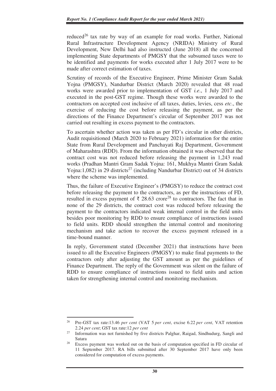reduced<sup>26</sup> tax rate by way of an example for road works. Further, National Rural Infrastructure Development Agency (NRIDA) Ministry of Rural Development, New Delhi had also instructed (June 2018) all the concerned implementing State departments of PMGSY that the subsumed taxes were to be identified and payments for works executed after 1 July 2017 were to be made after correct estimation of taxes.

Scrutiny of records of the Executive Engineer, Prime Minister Gram Sadak Yojna (PMGSY), Nandurbar District (March 2020) revealed that 48 road works were awarded prior to implementation of GST *i.e*., 1 July 2017 and executed in the post-GST regime. Though these works were awarded to the contractors on accepted cost inclusive of all taxes, duties, levies, cess *etc*., the exercise of reducing the cost before releasing the payment, as per the directions of the Finance Department's circular of September 2017 was not carried out resulting in excess payment to the contractors.

To ascertain whether action was taken as per FD's circular in other districts, Audit requisitioned (March 2020 to February 2021) information for the entire State from Rural Development and Panchayati Raj Department, Government of Maharashtra (RDD). From the information obtained it was observed that the contract cost was not reduced before releasing the payment in 1,243 road works (Pradhan Mantri Gram Sadak Yojna: 161, Mukhya Mantri Gram Sadak Yojna:1,082) in 29 districts<sup>27</sup> (including Nandurbar District) out of 34 districts where the scheme was implemented.

Thus, the failure of Executive Engineer's (PMGSY) to reduce the contract cost before releasing the payment to the contractors, as per the instructions of FD, resulted in excess payment of  $\bar{\tau}$  28.63 crore<sup>28</sup> to contractors. The fact that in none of the 29 districts, the contract cost was reduced before releasing the payment to the contractors indicated weak internal control in the field units besides poor monitoring by RDD to ensure compliance of instructions issued to field units. RDD should strengthen the internal control and monitoring mechanism and take action to recover the excess payment released in a time-bound manner.

In reply, Government stated (December 2021) that instructions have been issued to all the Executive Engineers (PMGSY) to make final payments to the contractors only after adjusting the GST amount as per the guidelines of Finance Department. The reply of the Government was silent on the failure of RDD to ensure compliance of instructions issued to field units and action taken for strengthening internal control and monitoring mechanism.

<sup>26</sup> Pre-GST tax rate:13.46 *per cent* (VAT 5 *per cent*, excise 6.22 *per cent*, VAT retention 2.24 *per cent*; GST tax rate:12 *per cent*

<sup>27</sup> Information was not furnished by five districts Palghar, Raigad, Sindhudurg, Sangli and Satara

<sup>28</sup> Excess payment was worked out on the basis of computation specified in FD circular of 11 September 2017. RA bills submitted after 30 September 2017 have only been considered for computation of excess payments.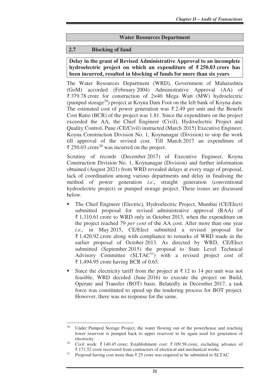#### **Water Resources Department**

#### **2.7 Blocking of fund**

#### **Delay in the grant of Revised Administrative Approval to an incomplete hydroelectric project on which an expenditure of ₹ 250.03 crore has been incurred, resulted in blocking of funds for more than six years**

The Water Resources Department (WRD), Government of Maharashtra (GoM) accorded (February 2004) Administrative Approval (AA) of ₹ 379.78 crore for construction of 2×40 Mega Watt (MW) hydroelectric (pumped storage<sup>29</sup>) project at Koyna Dam Foot on the left bank of Koyna dam. The estimated cost of power generation was  $\bar{\tau}$  2.49 per unit and the Benefit Cost Ratio (BCR) of the project was 1.81. Since the expenditure on the project exceeded the AA, the Chief Engineer (Civil), Hydroelectric Project and Quality Control, Pune (CE/Civil) instructed (March 2015) Executive Engineer, Koyna Construction Division No. 1, Koynanagar (Division) to stop the work till approval of the revised cost. Till March 2017 an expenditure of ₹ 250.03 crore<sup>30</sup> was incurred on the project.

Scrutiny of records (December 2017) of Executive Engineer, Koyna Construction Division No. 1, Koynanagar (Division) and further information obtained (August 2021) from WRD revealed delays at every stage of proposal, lack of coordination among various departments and delay in finalising the method of power generation *i.e*., straight generation (conventional hydroelectric project) or pumped storage project. These issues are discussed below.

- The Chief Engineer (Electric), Hydroelectric Project, Mumbai (CE/Elect) submitted proposal for revised administrative approval (RAA) of ₹ 1,310.61 crore to WRD only in October 2013, when the expenditure on the project reached 79 *per cent* of the AA cost. After more than one year *i.e.,* in May 2015, CE/Elect submitted a revised proposal for ₹ 1,420.92 crore along with compliance to remarks of WRD made in the earlier proposal of October 2013. As directed by WRD, CE/Elect submitted (September 2015) the proposal to State Level Technical Advisory Committee  $(SLTAC<sup>31</sup>)$  with a revised project cost of ₹ 1,494.95 crore having BCR of 0.65.
- Since the electricity tariff from the project at  $\bar{\tau}$  12 to 14 per unit was not feasible, WRD decided (June 2016) to execute the project on Build, Operate and Transfer (BOT) basis. Belatedly in December 2017, a task force was constituted to speed up the tendering process for BOT project. However, there was no response for the same.

Under Pumped Storage Project, the water flowing out of the powerhouse and reaching lower reservoir is pumped back to upper reservoir to be again used for generation of  $\text{electricity}$ 

Civil work: ₹ 140.45 crore; Establishment cost: ₹ 109.58 crore, excluding advance of ₹ 171.52 crore recovered from contractors of electrical and mechanical works

<sup>&</sup>lt;sup>31</sup> Proposal having cost more than  $\bar{\tau}$  25 crore was required to be submitted to SLTAC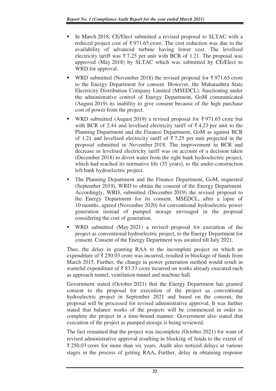- In March 2018, CE/Elect submitted a revised proposal to SLTAC with a reduced project cost of ₹971.65 crore. The cost reduction was due to the availability of advanced turbine having lower cost. The levelised electricity tariff was  $\bar{\tau}$  7.25 per unit with BCR of 1.21. The proposal was approved (May 2018) by SLTAC which was submitted by CE/Elect to WRD for approval.
- WRD submitted (November 2018) the revised proposal for  $\bar{\xi}$  971.65 crore to the Energy Department for consent. However, the Maharashtra State Electricity Distribution Company Limited (MSEDCL). functioning under the administrative control of Energy Department, GoM communicated (August 2019) its inability to give consent because of the high purchase cost of power from the project.
- WRD submitted (August 2019) a revised proposal for ₹ 971.65 crore but with BCR of 2.44 and levelised electricity tariff of  $\bar{\tau}$  4.23 per unit to the Planning Department and the Finance Department, GoM as against BCR of 1.21 and levelised electricity tariff of  $\overline{\zeta}$  7.25 per unit projected in the proposal submitted in November 2018. The improvement in BCR and decrease in levelised electricity tariff was on account of a decision taken (December 2018) to divert water from the right bank hydroelectric project, which had reached its normative life (35 years), to the under-construction left bank hydroelectric project.
- The Planning Department and the Finance Department, GoM, requested (September 2019), WRD to obtain the consent of the Energy Department. Accordingly, WRD, submitted (December 2019) the revised proposal to the Energy Department for its consent. MSEDCL, after a lapse of 10 months, agreed (November 2020) for conventional hydroelectric power generation instead of pumped storage envisaged in the proposal considering the cost of generation.
- WRD submitted (May 2021) a revised proposal for execution of the project as conventional hydroelectric project, to the Energy Department for consent. Consent of the Energy Department was awaited till July 2021.

Thus, the delay in granting RAA to the incomplete project on which an expenditure of ₹ 250.03 crore was incurred, resulted in blockage of funds from March 2015. Further, the change in power generation method would result in wasteful expenditure of  $\bar{\tau}$  83.53 crore incurred on works already executed such as approach tunnel, ventilation tunnel and machine hall*.*

Government stated (October 2021) that the Energy Department has granted consent to the proposal for execution of the project as conventional hydroelectric project in September 2021 and based on the consent, the proposal will be processed for revised administrative approval. It was further stated that balance works of the projects will be commenced in order to complete the project in a time-bound manner. Government also stated that execution of the project as pumped storage is being reviewed.

The fact remained that the project was incomplete (October 2021) for want of revised administrative approval resulting in blocking of funds to the extent of ₹ 250.03 crore for more than six years. Audit also noticed delays at various stages in the process of getting RAA**.** Further, delay in obtaining response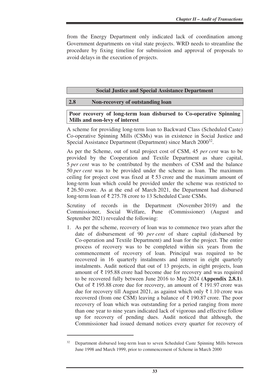from the Energy Department only indicated lack of coordination among Government departments on vital state projects. WRD needs to streamline the procedure by fixing timeline for submission and approval of proposals to avoid delays in the execution of projects.

#### **Social Justice and Special Assistance Department**

#### **2.8 Non-recovery of outstanding loan**

#### **Poor recovery of long-term loan disbursed to Co-operative Spinning Mills and non-levy of interest**

A scheme for providing long-term loan to Backward Class (Scheduled Caste) Co-operative Spinning Mills (CSMs) was in existence in Social Justice and Special Assistance Department (Department) since March 2000<sup>32</sup>.

As per the Scheme, out of total project cost of CSM, 45 *per cent* was to be provided by the Cooperation and Textile Department as share capital, 5 *per cent* was to be contributed by the members of CSM and the balance 50 *per cent* was to be provided under the scheme as loan. The maximum ceiling for project cost was fixed at  $\bar{\tau}$  53 crore and the maximum amount of long-term loan which could be provided under the scheme was restricted to ₹ 26.50 crore. As at the end of March 2021, the Department had disbursed long-term loan of ₹ 275.78 crore to 13 Scheduled Caste CSMs.

Scrutiny of records in the Department (November 2019) and the Commissioner, Social Welfare, Pune (Commissioner) (August and September 2021) revealed the following:

1. As per the scheme, recovery of loan was to commence two years after the date of disbursement of 90 *per cent* of share capital (disbursed by Co-operation and Textile Department) and loan for the project. The entire process of recovery was to be completed within six years from the commencement of recovery of loan. Principal was required to be recovered in 16 quarterly instalments and interest in eight quarterly instalments. Audit noticed that out of 13 projects, in eight projects, loan amount of ₹ 195.88 crore had become due for recovery and was required to be recovered fully between June 2016 to May 2024 **(Appendix 2.8.1)**. Out of ₹ 195.88 crore due for recovery, an amount of ₹ 191.97 crore was due for recovery till August 2021, as against which only ₹ 1.10 crore was recovered (from one CSM) leaving a balance of ₹ 190.87 crore. The poor recovery of loan which was outstanding for a period ranging from more than one year to nine years indicated lack of vigorous and effective follow up for recovery of pending dues. Audit noticed that although, the Commissioner had issued demand notices every quarter for recovery of

<sup>32</sup> Department disbursed long-term loan to seven Scheduled Caste Spinning Mills between June 1998 and March 1999, prior to commencement of Scheme in March 2000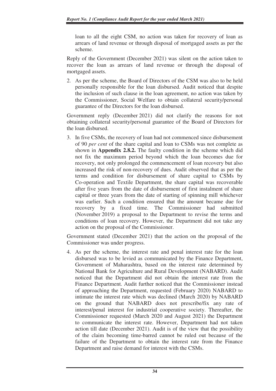loan to all the eight CSM, no action was taken for recovery of loan as arrears of land revenue or through disposal of mortgaged assets as per the scheme.

Reply of the Government (December 2021) was silent on the action taken to recover the loan as arrears of land revenue or through the disposal of mortgaged assets.

2. As per the scheme, the Board of Directors of the CSM was also to be held personally responsible for the loan disbursed. Audit noticed that despite the inclusion of such clause in the loan agreement, no action was taken by the Commissioner, Social Welfare to obtain collateral security/personal guarantee of the Directors for the loan disbursed.

Government reply (December 2021) did not clarify the reasons for not obtaining collateral security/personal guarantee of the Board of Directors for the loan disbursed.

3. In five CSMs, the recovery of loan had not commenced since disbursement of 90 *per cent* of the share capital and loan to CSMs was not complete as shown in **Appendix 2.8.2.** The faulty condition in the scheme which did not fix the maximum period beyond which the loan becomes due for recovery, not only prolonged the commencement of loan recovery but also increased the risk of non-recovery of dues. Audit observed that as per the terms and condition for disbursement of share capital to CSMs by Co-operation and Textile Department, the share capital was recoverable after five years from the date of disbursement of first instalment of share capital or three years from the date of starting of spinning mill whichever was earlier. Such a condition ensured that the amount became due for recovery by a fixed time. The Commissioner had submitted (November 2019) a proposal to the Department to revise the terms and conditions of loan recovery. However, the Department did not take any action on the proposal of the Commissioner.

Government stated (December 2021) that the action on the proposal of the Commissioner was under progress.

4. As per the scheme, the interest rate and penal interest rate for the loan disbursed was to be levied as communicated by the Finance Department, Government of Maharashtra, based on the interest rate determined by National Bank for Agriculture and Rural Development (NABARD). Audit noticed that the Department did not obtain the interest rate from the Finance Department. Audit further noticed that the Commissioner instead of approaching the Department, requested (February 2020) NABARD to intimate the interest rate which was declined (March 2020) by NABARD on the ground that NABARD does not prescribe/fix any rate of interest/penal interest for industrial cooperative society. Thereafter, the Commissioner requested (March 2020 and August 2021) the Department to communicate the interest rate. However, Department had not taken action till date (December 2021). Audit is of the view that the possibility of the claim becoming time-barred cannot be ruled out because of the failure of the Department to obtain the interest rate from the Finance Department and raise demand for interest with the CSMs.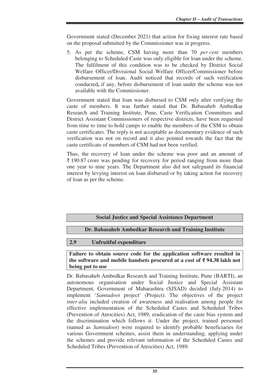Government stated (December 2021) that action for fixing interest rate based on the proposal submitted by the Commissioner was in progress.

5. As per the scheme, CSM having more than 70 *per cent* members belonging to Scheduled Caste was only eligible for loan under the scheme. The fulfilment of this condition was to be checked by District Social Welfare Officer/Divisional Social Welfare Officer/Commissioner before disbursement of loan. Audit noticed that records of such verification conducted**,** if any, before disbursement of loan under the scheme was not available with the Commissioner.

Government stated that loan was disbursed to CSM only after verifying the caste of members. It was further stated that Dr. Babasaheb Ambedkar Research and Training Institute, Pune, Caste Verification Committees and District Assistant Commissioners of respective districts, have been requested from time to time to hold camps to enable the members of the CSM to obtain caste certificates. The reply is not acceptable as documentary evidence of such verification was not on record and it also pointed towards the fact that the caste certificate of members of CSM had not been verified.

Thus, the recovery of loan under the scheme was poor and an amount of ₹ 190.87 crore was pending for recovery for period ranging from more than one year to nine years. The Department also did not safeguard its financial interest by levying interest on loan disbursed or by taking action for recovery of loan as per the scheme.

#### **Social Justice and Special Assistance Department**

**Dr. Babasaheb Ambedkar Research and Training Institute** 

#### **2.9 Unfruitful expenditure**

#### **Failure to obtain source code for the application software resulted in the software and mobile handsets procured at a cost of ₹ 94.38 lakh not being put to use**

Dr. Babasaheb Ambedkar Research and Training Institute, Pune (BARTI), an autonomous organisation under Social Justice and Special Assistant Department, Government of Maharashtra (SJSAD) decided (July 2014) to implement '*Samtadoot* project' (Project). The objectives of the project *inter alia* included creation of awareness and realisation among people for effective implementation of the Scheduled Castes and Scheduled Tribes (Prevention of Atrocities) Act, 1989, eradication of the caste bias system and the discrimination which follows it. Under the project, trained personnel (named as *Samtadoot*) were required to identify probable beneficiaries for various Government schemes, assist them in understanding, applying under the schemes and provide relevant information of the Scheduled Castes and Scheduled Tribes (Prevention of Atrocities) Act, 1989*.*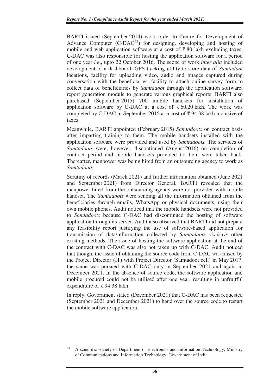BARTI issued (September 2014) work order to Centre for Development of Advance Computer  $(C-DAC^{33})$  for designing, developing and hosting of mobile and web application software at a cost of  $\bar{\tau}$  80 lakh excluding taxes. C-DAC was also responsible for hosting the application software for a period of one year *i.e*., upto 22 October 2016. The scope of work *inter alia* included development of a dashboard, GPS tracking utility to store data of *Samtadoot* locations, facility for uploading video, audio and images captured during conversation with the beneficiaries, facility to attach online survey form to collect data of beneficiaries by *Samtadoot* through the application software, report generation module to generate various graphical reports. BARTI also purchased (September 2015) 700 mobile handsets for installation of application software by C-DAC at a cost of  $\bar{\tau}$  60.20 lakh. The work was completed by C-DAC in September 2015 at a cost of ₹ 94.38 lakh inclusive of taxes.

Meanwhile, BARTI appointed (February 2015) *Samtadoots* on contract basis after imparting training to them. The mobile handsets installed with the application software were provided and used by *Samtadoots.* The services of *Samtadoots* were, however, discontinued (August 2016) on completion of contract period and mobile handsets provided to them were taken back. Thereafter, manpower was being hired from an outsourcing agency to work as *Samtadoots*.

Scrutiny of records (March 2021) and further information obtained (June 2021 and September 2021) from Director General, BARTI revealed that the manpower hired from the outsourcing agency were not provided with mobile handset. The *Samtadoots* were sending all the information obtained from the beneficiaries through emails, WhatsApp or physical documents, using their own mobile phones. Audit noticed that the mobile handsets were not provided to *Samtadoots* because C-DAC had discontinued the hosting of software application through its server. Audit also observed that BARTI did not prepare any feasibility report justifying the use of software-based application for transmission of data/information collected by *Samtadoots vis-à-vis* other existing methods. The issue of hosting the software application at the end of the contract with C-DAC was also not taken up with C-DAC. Audit noticed that though, the issue of obtaining the source code from C-DAC was raised by the Project Director (IT) with Project Director (Samtadoot cell) in May 2017, the same was pursued with C-DAC only in September 2021 and again in December 2021. In the absence of source code, the software application and mobile procured could not be utilised after one year, resulting in unfruitful expenditure of ₹ 94.38 lakh.

In reply, Government stated (December 2021) that C-DAC has been requested (September 2021 and December 2021) to hand over the source code to restart the mobile software application.

<sup>33</sup> A scientific society of Department of Electronics and Information Technology, Ministry of Communications and Information Technology, Government of India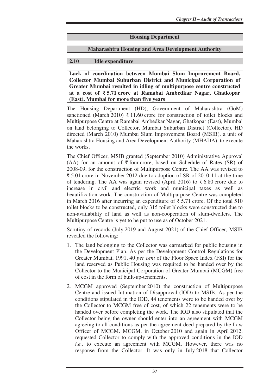#### **Housing Department**

#### **Maharashtra Housing and Area Development Authority**

#### **2.10 Idle expenditure**

**Lack of coordination between Mumbai Slum Improvement Board, Collector Mumbai Suburban District and Municipal Corporation of Greater Mumbai resulted in idling of multipurpose centre constructed at a cost of ₹ 5.71 crore at Ramabai Ambedkar Nagar, Ghatkopar (East), Mumbai for more than five years** 

The Housing Department (HD), Government of Maharashtra (GoM) sanctioned (March 2010)  $\bar{\tau}$  11.60 crore for construction of toilet blocks and Multipurpose Centre at Ramabai Ambedkar Nagar, Ghatkopar (East), Mumbai on land belonging to Collector, Mumbai Suburban District (Collector). HD directed (March 2010) Mumbai Slum Improvement Board (MSIB), a unit of Maharashtra Housing and Area Development Authority (MHADA), to execute the works.

The Chief Officer, MSIB granted (September 2010) Administrative Approval (AA) for an amount of  $\bar{\tau}$  four crore, based on Schedule of Rates (SR) of 2008-09, for the construction of Multipurpose Centre. The AA was revised to ₹ 5.01 crore in November 2012 due to adoption of SR of 2010-11 at the time of tendering. The AA was again revised (April 2016) to  $\bar{\tau}$  6.80 crore due to increase in civil and electric work and municipal taxes as well as beautification work. The construction of Multipurpose Centre was completed in March 2016 after incurring an expenditure of ₹ 5.71 crore. Of the total 510 toilet blocks to be constructed, only 315 toilet blocks were constructed due to non-availability of land as well as non-cooperation of slum-dwellers. The Multipurpose Centre is yet to be put to use as of October 2021.

Scrutiny of records (July 2019 and August 2021) of the Chief Officer, MSIB revealed the following:

- 1. The land belonging to the Collector was earmarked for public housing in the Development Plan. As per the Development Control Regulations for Greater Mumbai, 1991, 40 *per cent* of the Floor Space Index (FSI) for the land reserved as Public Housing was required to be handed over by the Collector to the Municipal Corporation of Greater Mumbai (MCGM) free of cost in the form of built-up-tenements.
- 2. MCGM approved (September 2010) the construction of Multipurpose Centre and issued Intimation of Disapproval (IOD) to MSIB. As per the conditions stipulated in the IOD, 44 tenements were to be handed over by the Collector to MCGM free of cost, of which 22 tenements were to be handed over before completing the work. The IOD also stipulated that the Collector being the owner should enter into an agreement with MCGM agreeing to all conditions as per the agreement deed prepared by the Law Officer of MCGM. MCGM, in October 2010 and again in April 2012, requested Collector to comply with the approved conditions in the IOD *i.e.,* to execute an agreement with MCGM. However, there was no response from the Collector. It was only in July 2018 that Collector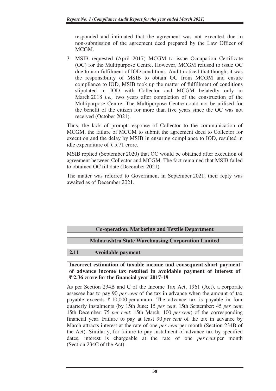responded and intimated that the agreement was not executed due to non-submission of the agreement deed prepared by the Law Officer of MCGM.

3. MSIB requested (April 2017) MCGM to issue Occupation Certificate (OC) for the Multipurpose Centre. However, MCGM refused to issue OC due to non-fulfilment of IOD conditions. Audit noticed that though, it was the responsibility of MSIB to obtain OC from MCGM and ensure compliance to IOD, MSIB took up the matter of fulfillment of conditions stipulated in IOD with Collector and MCGM belatedly only in March 2018 *i.e.,* two years after completion of the construction of the Multipurpose Centre. The Multipurpose Centre could not be utilised for the benefit of the citizen for more than five years since the OC was not received (October 2021).

Thus, the lack of prompt response of Collector to the communication of MCGM, the failure of MCGM to submit the agreement deed to Collector for execution and the delay by MSIB in ensuring compliance to IOD, resulted in idle expenditure of ₹ 5.71 crore.

MSIB replied (September 2020) that OC would be obtained after execution of agreement between Collector and MCGM. The fact remained that MSIB failed to obtained OC till date (December 2021).

The matter was referred to Government in September 2021; their reply was awaited as of December 2021.

# **Co-operation, Marketing and Textile Department**

# **Maharashtra State Warehousing Corporation Limited**

#### **2.11 Avoidable payment**

**Incorrect estimation of taxable income and consequent short payment of advance income tax resulted in avoidable payment of interest of ₹ 2.36 crore for the financial year 2017-18** 

As per Section 234B and C of the Income Tax Act, 1961 (Act), a corporate assessee has to pay 90 *per cent* of the tax in advance when the amount of tax payable exceeds ₹ 10,000 per annum. The advance tax is payable in four quarterly instalments (by 15th June: 15 *per cent*; 15th September: 45 *per cent*; 15th December: 75 *per cent*; 15th March: 100 *per cent*) of the corresponding financial year. Failure to pay at least 90 *per cent* of the tax in advance by March attracts interest at the rate of one *per cent* per month (Section 234B of the Act). Similarly, for failure to pay instalment of advance tax by specified dates, interest is chargeable at the rate of one *per cent* per month (Section 234C of the Act).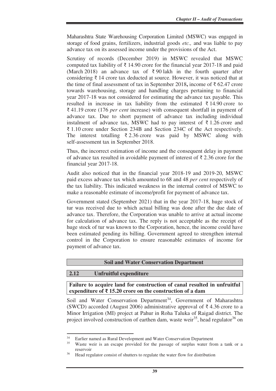Maharashtra State Warehousing Corporation Limited (MSWC) was engaged in storage of food grains, fertilizers, industrial goods *etc.,* and was liable to pay advance tax on its assessed income under the provisions of the Act.

Scrutiny of records (December 2019) in MSWC revealed that MSWC computed tax liability of ₹ 14.90 crore for the financial year 2017-18 and paid (March 2018) an advance tax of  $\bar{\tau}$  90 lakh in the fourth quarter after considering  $\bar{\tau}$  14 crore tax deducted at source. However, it was noticed that at the time of final assessment of tax in September 2018**,** income of ₹ 62.47 crore towards warehousing, storage and handling charges pertaining to financial year 2017-18 was not considered for estimating the advance tax payable. This resulted in increase in tax liability from the estimated  $\bar{\tau}$  14.90 crore to ₹ 41.19 crore (176 *per cent* increase) with consequent shortfall in payment of advance tax. Due to short payment of advance tax including individual instalment of advance tax, MSWC had to pay interest of  $\bar{\tau}$  1.26 crore and ₹ 1.10 crore under Section 234B and Section 234C of the Act respectively. The interest totalling  $\overline{\xi}$  2.36 crore was paid by MSWC along with self-assessment tax in September 2018.

Thus, the incorrect estimation of income and the consequent delay in payment of advance tax resulted in avoidable payment of interest of ₹ 2.36 crore for the financial year 2017-18.

Audit also noticed that in the financial year 2018-19 and 2019-20, MSWC paid excess advance tax which amounted to 68 and 48 *per cent* respectively of the tax liability. This indicated weakness in the internal control of MSWC to make a reasonable estimate of income/profit for payment of advance tax.

Government stated (September 2021) that in the year 2017-18, huge stock of tur was received due to which actual billing was done after the due date of advance tax. Therefore, the Corporation was unable to arrive at actual income for calculation of advance tax. The reply is not acceptable as the receipt of huge stock of tur was known to the Corporation, hence, the income could have been estimated pending its billing. Government agreed to strengthen internal control in the Corporation to ensure reasonable estimates of income for payment of advance tax.

#### **Soil and Water Conservation Department**

#### **2.12 Unfruitful expenditure**

 $\overline{a}$ 

**Failure to acquire land for construction of canal resulted in unfruitful expenditure of ₹ 15.20 crore on the construction of a dam**

Soil and Water Conservation Department<sup>34</sup>, Government of Maharashtra (SWCD) accorded (August 2006) administrative approval of  $\bar{\tau}$  4.36 crore to a Minor Irrigation (MI) project at Pahur in Roha Taluka of Raigad district. The project involved construction of earthen dam, waste weir<sup>35</sup>, head regulator<sup>36</sup> on

<sup>&</sup>lt;sup>34</sup> Earlier named as Rural Development and Water Conservation Department<br><sup>35</sup> Weste weig is an assenge provided for the nassage of surplus water from

Waste weir is an escape provided for the passage of surplus water from a tank or a reservoir

<sup>&</sup>lt;sup>36</sup> Head regulator consist of shutters to regulate the water flow for distribution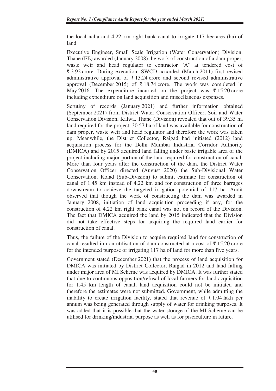the local nalla and 4.22 km right bank canal to irrigate 117 hectares (ha) of land.

Executive Engineer, Small Scale Irrigation (Water Conservation) Division, Thane (EE) awarded (January 2008) the work of construction of a dam proper, waste weir and head regulator to contractor "A" at tendered cost of ₹ 3.92 crore. During execution, SWCD accorded (March 2011) first revised administrative approval of  $\bar{\tau}$  13.24 crore and second revised administrative approval (December 2015) of  $\bar{\xi}$  18.74 crore. The work was completed in May 2016. The expenditure incurred on the project was  $\bar{\tau}$  15.20 crore including expenditure on land acquisition and miscellaneous expenses.

Scrutiny of records (January 2021) and further information obtained (September 2021) from District Water Conservation Officer, Soil and Water Conservation Division, Kalwa, Thane (Division) revealed that out of 39.35 ha land required for the project, 30.57 ha of land was available for construction of dam proper, waste weir and head regulator and therefore the work was taken up. Meanwhile, the District Collector, Raigad had initiated (2012) land acquisition process for the Delhi Mumbai Industrial Corridor Authority (DMICA) and by 2015 acquired land falling under basic irrigable area of the project including major portion of the land required for construction of canal. More than four years after the construction of the dam, the District Water Conservation Officer directed (August 2020) the Sub-Divisional Water Conservation, Kolad (Sub-Division) to submit estimate for construction of canal of 1.45 km instead of 4.22 km and for construction of three barrages downstream to achieve the targeted irrigation potential of 117 ha. Audit observed that though the work of constructing the dam was awarded in January 2008, initiation of land acquisition proceeding if any, for the construction of 4.22 km right bank canal was not on record of the Division. The fact that DMICA acquired the land by 2015 indicated that the Division did not take effective steps for acquiring the required land earlier for construction of canal.

Thus, the failure of the Division to acquire required land for construction of canal resulted in non-utilisation of dam constructed at a cost of  $\bar{\tau}$  15.20 crore for the intended purpose of irrigating 117 ha of land for more than five years.

Government stated (December 2021) that the process of land acquisition for DMICA was initiated by District Collector, Raigad in 2012 and land falling under major area of MI Scheme was acquired by DMICA. It was further stated that due to continuous opposition/refusal of local farmers for land acquisition for 1.45 km length of canal, land acquisition could not be initiated and therefore the estimates were not submitted. Government, while admitting the inability to create irrigation facility, stated that revenue of ₹ 1.04 lakh per annum was being generated through supply of water for drinking purposes. It was added that it is possible that the water storage of the MI Scheme can be utilised for drinking/industrial purpose as well as for pisciculture in future.